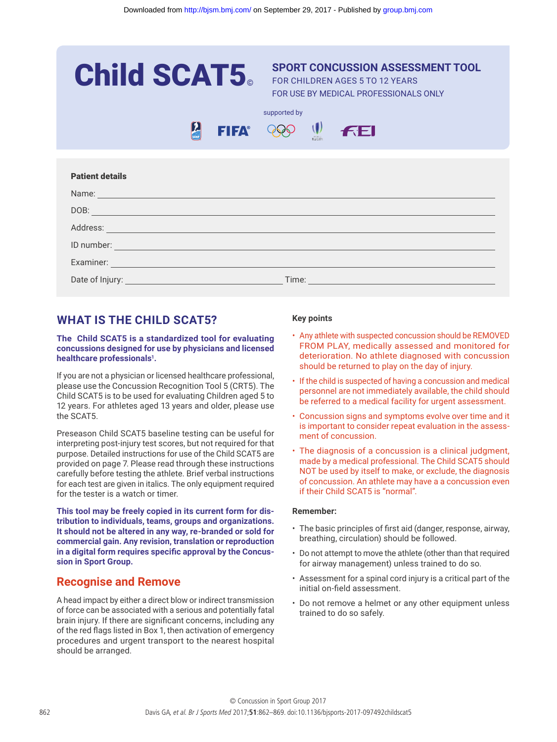| Downloaded from http://bjsm.bmj.com/ on September 29, 2017 - Published by group.bmj.com                                                                                                                                                                                                                                                                                                                                                                                                                                                                                                                                                                                                                                                                                                                                                                                                                                                                                                                                                                                                                                                                                                                                                                                                                                                                                                                                                                                                                                                                                                                                                                |                                                                                                                                                                                                                                                                                                                                                                                                                                                                                                                                                                                                                                                                                                                                                                                                                                                                                                                                                                                                                                                                                                                                                                                                                                                                                                                    |
|--------------------------------------------------------------------------------------------------------------------------------------------------------------------------------------------------------------------------------------------------------------------------------------------------------------------------------------------------------------------------------------------------------------------------------------------------------------------------------------------------------------------------------------------------------------------------------------------------------------------------------------------------------------------------------------------------------------------------------------------------------------------------------------------------------------------------------------------------------------------------------------------------------------------------------------------------------------------------------------------------------------------------------------------------------------------------------------------------------------------------------------------------------------------------------------------------------------------------------------------------------------------------------------------------------------------------------------------------------------------------------------------------------------------------------------------------------------------------------------------------------------------------------------------------------------------------------------------------------------------------------------------------------|--------------------------------------------------------------------------------------------------------------------------------------------------------------------------------------------------------------------------------------------------------------------------------------------------------------------------------------------------------------------------------------------------------------------------------------------------------------------------------------------------------------------------------------------------------------------------------------------------------------------------------------------------------------------------------------------------------------------------------------------------------------------------------------------------------------------------------------------------------------------------------------------------------------------------------------------------------------------------------------------------------------------------------------------------------------------------------------------------------------------------------------------------------------------------------------------------------------------------------------------------------------------------------------------------------------------|
| <b>Child SCAT5.</b><br>supported by<br>$\sum_{mn}$<br><b>FIFA®</b>                                                                                                                                                                                                                                                                                                                                                                                                                                                                                                                                                                                                                                                                                                                                                                                                                                                                                                                                                                                                                                                                                                                                                                                                                                                                                                                                                                                                                                                                                                                                                                                     | <b>SPORT CONCUSSION ASSESSMENT TOOL</b><br><b>FOR CHILDREN AGES 5 TO 12 YEARS</b><br>FOR USE BY MEDICAL PROFESSIONALS ONLY<br>$\sf U$<br>f <sub>TE</sub>                                                                                                                                                                                                                                                                                                                                                                                                                                                                                                                                                                                                                                                                                                                                                                                                                                                                                                                                                                                                                                                                                                                                                           |
| <b>Patient details</b><br>ID number: <u>Contract of the contract of the contract of the contract of the contract of the contract of the contract of the contract of the contract of the contract of the contract of the contract of the contract of the co</u>                                                                                                                                                                                                                                                                                                                                                                                                                                                                                                                                                                                                                                                                                                                                                                                                                                                                                                                                                                                                                                                                                                                                                                                                                                                                                                                                                                                         |                                                                                                                                                                                                                                                                                                                                                                                                                                                                                                                                                                                                                                                                                                                                                                                                                                                                                                                                                                                                                                                                                                                                                                                                                                                                                                                    |
| <b>WHAT IS THE CHILD SCAT5?</b><br>The Child SCAT5 is a standardized tool for evaluating<br>concussions designed for use by physicians and licensed<br>nealthcare professionals <sup>1</sup> .<br>f you are not a physician or licensed healthcare professional,<br>please use the Concussion Recognition Tool 5 (CRT5). The<br>Child SCAT5 is to be used for evaluating Children aged 5 to<br>12 years. For athletes aged 13 years and older, please use<br>he SCAT5.<br>Preseason Child SCAT5 baseline testing can be useful for<br>nterpreting post-injury test scores, but not required for that<br>ourpose. Detailed instructions for use of the Child SCAT5 are<br>provided on page 7. Please read through these instructions<br>carefully before testing the athlete. Brief verbal instructions<br>or each test are given in italics. The only equipment required<br>or the tester is a watch or timer.<br>This tool may be freely copied in its current form for dis-<br>ribution to individuals, teams, groups and organizations.<br>t should not be altered in any way, re-branded or sold for<br>commercial gain. Any revision, translation or reproduction<br>n a digital form requires specific approval by the Concus-<br>sion in Sport Group.<br><b>Recognise and Remove</b><br>A head impact by either a direct blow or indirect transmission<br>of force can be associated with a serious and potentially fatal<br>orain injury. If there are significant concerns, including any<br>of the red flags listed in Box 1, then activation of emergency<br>procedures and urgent transport to the nearest hospital<br>should be arranged. | <b>Key points</b><br>• Any athlete with suspected concussion should be REMOVEI<br>FROM PLAY, medically assessed and monitored fo<br>deterioration. No athlete diagnosed with concussion<br>should be returned to play on the day of injury.<br>• If the child is suspected of having a concussion and medica<br>personnel are not immediately available, the child should<br>be referred to a medical facility for urgent assessment.<br>• Concussion signs and symptoms evolve over time and i<br>is important to consider repeat evaluation in the assess<br>ment of concussion.<br>• The diagnosis of a concussion is a clinical judgment<br>made by a medical professional. The Child SCAT5 should<br>NOT be used by itself to make, or exclude, the diagnosis<br>of concussion. An athlete may have a a concussion ever<br>if their Child SCAT5 is "normal".<br><b>Remember:</b><br>· The basic principles of first aid (danger, response, airway<br>breathing, circulation) should be followed.<br>• Do not attempt to move the athlete (other than that required<br>for airway management) unless trained to do so.<br>• Assessment for a spinal cord injury is a critical part of the<br>initial on-field assessment.<br>• Do not remove a helmet or any other equipment unles<br>trained to do so safely. |
| © Concussion in Sport Group 2017                                                                                                                                                                                                                                                                                                                                                                                                                                                                                                                                                                                                                                                                                                                                                                                                                                                                                                                                                                                                                                                                                                                                                                                                                                                                                                                                                                                                                                                                                                                                                                                                                       |                                                                                                                                                                                                                                                                                                                                                                                                                                                                                                                                                                                                                                                                                                                                                                                                                                                                                                                                                                                                                                                                                                                                                                                                                                                                                                                    |

# **WHAT IS THE CHILD SCAT5?**

### **The Child SCAT5 is a standardized tool for evaluating concussions designed for use by physicians and licensed healthcare professionals1 .**

# **Recognise and Remove**

### **Key points**

- Any athlete with suspected concussion should be REMOVED FROM PLAY, medically assessed and monitored for deterioration. No athlete diagnosed with concussion should be returned to play on the day of injury.
- If the child is suspected of having a concussion and medical personnel are not immediately available, the child should be referred to a medical facility for urgent assessment.
- Concussion signs and symptoms evolve over time and it is important to consider repeat evaluation in the assessment of concussion.
- The diagnosis of a concussion is a clinical judgment, made by a medical professional. The Child SCAT5 should NOT be used by itself to make, or exclude, the diagnosis of concussion. An athlete may have a a concussion even if their Child SCAT5 is "normal".

### **Remember:**

- The basic principles of first aid (danger, response, airway, breathing, circulation) should be followed.
- Do not attempt to move the athlete (other than that required for airway management) unless trained to do so.
- Assessment for a spinal cord injury is a critical part of the initial on-field assessment.
- Do not remove a helmet or any other equipment unless trained to do so safely.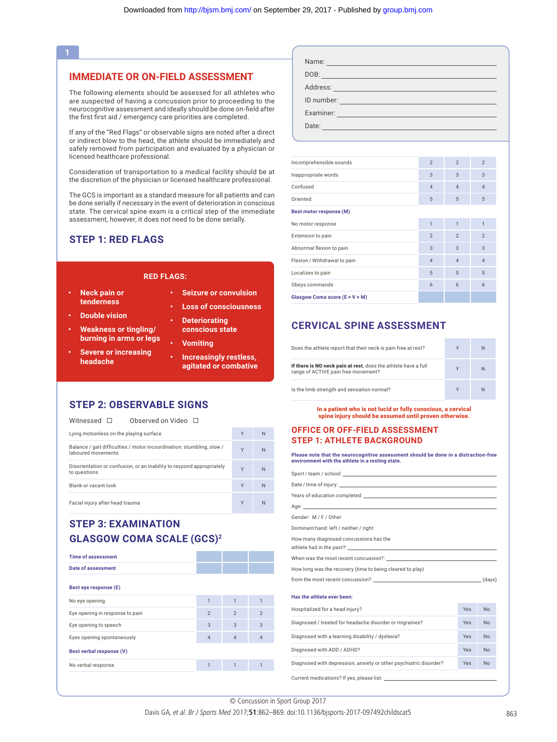### **1**

### **IMMEDIATE OR ON-FIELD ASSESSMENT**

The following elements should be assessed for all athletes who are suspected of having a concussion prior to proceeding to the neurocognitive assessment and ideally should be done on-field after the first first aid / emergency care priorities are completed.

If any of the "Red Flags" or observable signs are noted after a direct or indirect blow to the head, the athlete should be immediately and safely removed from participation and evaluated by a physician or licensed healthcare professional.

Consideration of transportation to a medical facility should be at the discretion of the physician or licensed healthcare professional.

The GCS is important as a standard measure for all patients and can be done serially if necessary in the event of deterioration in conscious state. The cervical spine exam is a critical step of the immediate assessment, however, it does not need to be done serially.

### **STEP 1: RED FLAGS**

#### **RED FLAGS:**

- **• Neck pain or tenderness**
- **• Seizure or convulsion • Loss of consciousness**
- **• Double vision**
- **• Weakness or tingling/ burning in arms or legs**
- **• Severe or increasing headache**
- **• Deteriorating conscious state**
- **• Vomiting**
- **• Increasingly restless, agitated or combative**

## **STEP 2: OBSERVABLE SIGNS**

| Observed on Video □<br>Witnessed $\square$                                                  |   |   |
|---------------------------------------------------------------------------------------------|---|---|
| Lying motionless on the playing surface                                                     | Y |   |
| Balance / gait difficulties / motor incoordination: stumbling, slow /<br>laboured movements | Y | N |
| Disorientation or confusion, or an inability to respond appropriately<br>to questions       | Y | N |
| Blank or vacant look                                                                        | Y | N |
| Facial injury after head trauma                                                             | Y |   |

# **STEP 3: EXAMINATION GLASGOW COMA SCALE (GCS)2**

| <b>Time of assessment</b>       |                |                |                |
|---------------------------------|----------------|----------------|----------------|
| Date of assessment              |                |                |                |
| Best eye response (E)           |                |                |                |
| No eye opening                  | 1              | $\overline{1}$ | $\overline{1}$ |
| Eye opening in response to pain | $\mathfrak{p}$ | $\overline{2}$ | $\overline{2}$ |
| Eye opening to speech           | 3              | 3              | 3              |
| Eyes opening spontaneously      | $\overline{4}$ | $\overline{4}$ | $\overline{4}$ |
| Best verbal response (V)        |                |                |                |
| No verbal response              |                | 1              |                |

| Name:      |  |
|------------|--|
| DOB:       |  |
| Address:   |  |
| ID number: |  |
| Examiner:  |  |
| Date:      |  |

|                                                                                                                                                            |                                                        |                |                | Downloaded from http://bjsm.bmj.com/ on September 29, 2017 - Published by group.bmj.com                                                                                                                                              |                |                |                |
|------------------------------------------------------------------------------------------------------------------------------------------------------------|--------------------------------------------------------|----------------|----------------|--------------------------------------------------------------------------------------------------------------------------------------------------------------------------------------------------------------------------------------|----------------|----------------|----------------|
|                                                                                                                                                            |                                                        |                |                |                                                                                                                                                                                                                                      |                |                |                |
|                                                                                                                                                            |                                                        |                |                | Name: Name: Name: Name: Name: Name: Name: Name: Name: Name: Name: Name: Name: Name: Name: Name: Name: Name: Name: Name: Name: Name: Name: Name: Name: Name: Name: Name: Name: Name: Name: Name: Name: Name: Name: Name: Name:        |                |                |                |
|                                                                                                                                                            |                                                        |                |                |                                                                                                                                                                                                                                      |                |                |                |
| <b>OR ON-FIELD ASSESSMENT</b>                                                                                                                              |                                                        |                |                | DOB: <u>Andrea Maria Company and Company and Company and Company and Company and Company and Company and Company and Company and Company and Company and Company and Company and Company and Company and Company and Company and</u> |                |                |                |
| ments should be assessed for all athletes who                                                                                                              |                                                        |                |                |                                                                                                                                                                                                                                      |                |                |                |
| having a concussion prior to proceeding to the<br>sessment and ideally should be done on-field after                                                       |                                                        |                |                |                                                                                                                                                                                                                                      |                |                |                |
| emergency care priorities are completed.                                                                                                                   |                                                        |                |                | Examiner: <u>Alexander School (Alexander School)</u>                                                                                                                                                                                 |                |                |                |
| Flags" or observable signs are noted after a direct<br>the head, the athlete should be immediately and<br>om participation and evaluated by a physician or |                                                        |                |                |                                                                                                                                                                                                                                      |                |                |                |
| re professional.                                                                                                                                           |                                                        |                |                |                                                                                                                                                                                                                                      |                |                |                |
| transportation to a medical facility should be at                                                                                                          |                                                        |                |                | Incomprehensible sounds                                                                                                                                                                                                              | $\overline{2}$ | $\overline{2}$ | $\mathbf{2}$   |
| he physician or licensed healthcare professional.                                                                                                          |                                                        |                |                | Inappropriate words                                                                                                                                                                                                                  | 3              | 3              | $\sqrt{3}$     |
| ant as a standard measure for all patients and can                                                                                                         |                                                        |                |                | Confused                                                                                                                                                                                                                             | $\overline{4}$ | $\overline{4}$ | $\overline{4}$ |
| necessary in the event of deterioration in conscious                                                                                                       |                                                        |                |                | Oriented                                                                                                                                                                                                                             | 5              | 5              | 5              |
| al spine exam is a critical step of the immediate<br>ever, it does not need to be done serially.                                                           |                                                        |                |                | Best motor response (M)                                                                                                                                                                                                              |                |                |                |
|                                                                                                                                                            |                                                        |                |                | No motor response                                                                                                                                                                                                                    | $\mathbf{1}$   | $\mathbf{1}$   | $\mathbf{1}$   |
| <b>D FLAGS</b>                                                                                                                                             |                                                        |                |                | Extension to pain                                                                                                                                                                                                                    | $\overline{2}$ | $\overline{2}$ | $\overline{2}$ |
|                                                                                                                                                            |                                                        |                |                | Abnormal flexion to pain                                                                                                                                                                                                             | 3              | 3              | 3              |
|                                                                                                                                                            |                                                        |                |                | Flexion / Withdrawal to pain                                                                                                                                                                                                         | $\overline{4}$ | $\overline{4}$ | $\overline{4}$ |
| <b>RED FLAGS:</b>                                                                                                                                          |                                                        |                |                | Localizes to pain                                                                                                                                                                                                                    | 5              | 5              | 5              |
|                                                                                                                                                            | <b>Seizure or convulsion</b>                           |                |                | Obeys commands                                                                                                                                                                                                                       | 6              | 6              | 6              |
|                                                                                                                                                            | <b>Loss of consciousness</b>                           |                |                | Glasgow Coma score (E + V + M)                                                                                                                                                                                                       |                |                |                |
| n<br>tingling/                                                                                                                                             | <b>Deteriorating</b><br>conscious state                |                |                | <b>CERVICAL SPINE ASSESSMENT</b>                                                                                                                                                                                                     |                |                |                |
| ms or legs                                                                                                                                                 | <b>Vomiting</b>                                        |                |                | Does the athlete report that their neck is pain free at rest?                                                                                                                                                                        |                | Y              | N              |
| reasing:                                                                                                                                                   | <b>Increasingly restless,</b><br>agitated or combative |                |                | If there is NO neck pain at rest, does the athlete have a full<br>range of ACTIVE pain free movement?                                                                                                                                |                | Y              | N              |
|                                                                                                                                                            |                                                        |                |                | Is the limb strength and sensation normal?                                                                                                                                                                                           |                | Y              | $\mathsf{N}$   |
| <b>SERVABLE SIGNS</b>                                                                                                                                      |                                                        |                |                | In a patient who is not lucid or fully conscious, a cervical                                                                                                                                                                         |                |                |                |
| Observed on Video $\Box$                                                                                                                                   |                                                        |                |                | spine injury should be assumed until proven otherwise.                                                                                                                                                                               |                |                |                |
| playing surface                                                                                                                                            |                                                        | Υ              | N              | <b>OFFICE OR OFF-FIELD ASSESSMENT</b>                                                                                                                                                                                                |                |                |                |
| s / motor incoordination: stumbling, slow /                                                                                                                |                                                        | Y              | N              | <b>STEP 1: ATHLETE BACKGROUND</b><br>Please note that the neurocognitive assessment should be done in a distraction-free                                                                                                             |                |                |                |
| sion, or an inability to respond appropriately                                                                                                             |                                                        | Y              | N              | environment with the athlete in a resting state.                                                                                                                                                                                     |                |                |                |
|                                                                                                                                                            |                                                        |                |                |                                                                                                                                                                                                                                      |                |                |                |
|                                                                                                                                                            |                                                        | Υ              | N              |                                                                                                                                                                                                                                      |                |                |                |
| trauma                                                                                                                                                     |                                                        | Υ              | N              | Age: $\_\_$                                                                                                                                                                                                                          |                |                |                |
|                                                                                                                                                            |                                                        |                |                | Gender: M / F / Other                                                                                                                                                                                                                |                |                |                |
| AMINATION                                                                                                                                                  |                                                        |                |                | Dominant hand: left / neither / right                                                                                                                                                                                                |                |                |                |
| $\mathsf{COMA}\;\mathsf{SCALE}\;(\mathsf{GCS})^2$                                                                                                          |                                                        |                |                | How many diagnosed concussions has the                                                                                                                                                                                               |                |                |                |
|                                                                                                                                                            |                                                        |                |                | athlete had in the past?: __                                                                                                                                                                                                         |                |                |                |
|                                                                                                                                                            |                                                        |                |                | How long was the recovery (time to being cleared to play)                                                                                                                                                                            |                |                |                |
|                                                                                                                                                            |                                                        |                |                | from the most recent concussion?: ______                                                                                                                                                                                             |                |                | (days)         |
|                                                                                                                                                            | $\mathbf{1}$                                           | $\mathbf{1}$   | $\mathbf{1}$   | Has the athlete ever been:                                                                                                                                                                                                           |                |                |                |
| e to pain                                                                                                                                                  | $\overline{2}$                                         | $\overline{2}$ | $\overline{2}$ | Hospitalized for a head injury?                                                                                                                                                                                                      |                | Yes            | No             |
|                                                                                                                                                            | 3                                                      | 3              | 3              | Diagnosed / treated for headache disorder or migraines?                                                                                                                                                                              |                | Yes            | No             |
| ously                                                                                                                                                      | $\overline{4}$                                         | $\overline{4}$ | $\overline{4}$ | Diagnosed with a learning disability / dyslexia?                                                                                                                                                                                     |                | Yes            | No             |
| I)                                                                                                                                                         |                                                        |                |                | Diagnosed with ADD / ADHD?                                                                                                                                                                                                           |                | Yes            | No             |
|                                                                                                                                                            | $\mathbf{1}$                                           | $\mathbf{1}$   | $\mathbf{1}$   | Diagnosed with depression, anxiety or other psychiatric disorder?                                                                                                                                                                    |                | Yes            | No             |
|                                                                                                                                                            |                                                        |                |                |                                                                                                                                                                                                                                      |                |                |                |
|                                                                                                                                                            |                                                        |                |                |                                                                                                                                                                                                                                      |                |                |                |
|                                                                                                                                                            |                                                        |                |                | © Concussion in Sport Group 2017                                                                                                                                                                                                     |                |                |                |

## **CERVICAL SPINE ASSESSMENT**

| Does the athlete report that their neck is pain free at rest?                                         | Υ | N |
|-------------------------------------------------------------------------------------------------------|---|---|
| If there is NO neck pain at rest, does the athlete have a full<br>range of ACTIVE pain free movement? | V | N |
| Is the limb strength and sensation normal?                                                            |   | N |

### **OFFICE OR OFF-FIELD ASSESSMENT STEP 1: ATHLETE BACKGROUND**

| Years of education completed: New Year 2008 and 2009 and 2009 and 2009 and 2009 and 2009 and 2009 and 2009 and                                                                                                                      |     |           |
|-------------------------------------------------------------------------------------------------------------------------------------------------------------------------------------------------------------------------------------|-----|-----------|
| Age: <u>example</u> and a series of the series of the series of the series of the series of the series of the series of the series of the series of the series of the series of the series of the series of the series of the serie |     |           |
| Gender: M / F / Other                                                                                                                                                                                                               |     |           |
| Dominant hand: left / neither / right                                                                                                                                                                                               |     |           |
| How many diagnosed concussions has the                                                                                                                                                                                              |     |           |
|                                                                                                                                                                                                                                     |     |           |
| How long was the recovery (time to being cleared to play)                                                                                                                                                                           |     |           |
|                                                                                                                                                                                                                                     |     |           |
| Has the athlete ever been:                                                                                                                                                                                                          |     |           |
| Hospitalized for a head injury?                                                                                                                                                                                                     | Yes | <b>No</b> |

| <b>HUSDILAILLEU TUI A HEAU IIIIUI V :</b>                         | 155        | $\mathbf{N}$ |
|-------------------------------------------------------------------|------------|--------------|
| Diagnosed / treated for headache disorder or migraines?           | <b>Yes</b> | <b>No</b>    |
| Diagnosed with a learning disability / dyslexia?                  | Yes        | <b>No</b>    |
| Diagnosed with ADD / ADHD?                                        | Yes        | <b>No</b>    |
| Diagnosed with depression, anxiety or other psychiatric disorder? | Yes        | <b>No</b>    |
| Current medications? If yes, please list:                         |            |              |

Davis GA, *et al. Br J Sports Med* 2017;**51**:862–869. doi:10.1136/bjsports-2017-097492childscat5 © Concussion in Sport Group 2017 © Concussion in Sport Group 2017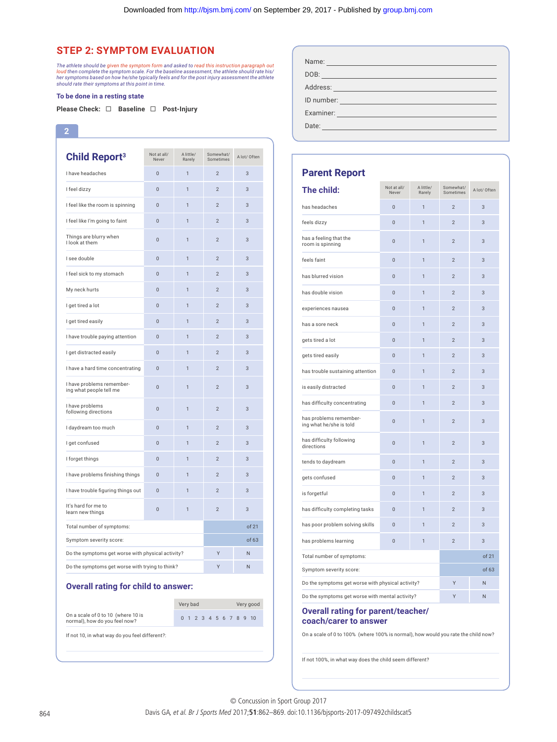## **STEP 2: SYMPTOM EVALUATION**

#### **To be done in a resting state**

**Please Check:** □ Baseline □ Post-Injury

| <b>TEP 2: SYMPTOM EVALUATION</b><br>e athlete should be given the symptom form and asked to read this instruction paragraph out<br>d then complete the symptom scale. For the baseline assessment, the athlete should rate his/<br>r symptoms based on how he/she typically feels and for the post injury assessment the athlete<br>ould rate their symptoms at this point in time.<br>be done in a resting state |                      |                     |                        |              |                                                                    |                      |  |
|-------------------------------------------------------------------------------------------------------------------------------------------------------------------------------------------------------------------------------------------------------------------------------------------------------------------------------------------------------------------------------------------------------------------|----------------------|---------------------|------------------------|--------------|--------------------------------------------------------------------|----------------------|--|
| ease Check: □ Baseline □ Post-Injury<br>$\overline{2}$                                                                                                                                                                                                                                                                                                                                                            |                      |                     |                        |              |                                                                    |                      |  |
| <b>Child Report<sup>3</sup></b>                                                                                                                                                                                                                                                                                                                                                                                   | Not at all/<br>Never | A little/<br>Rarely | Somewhat/<br>Sometimes | A lot/ Often |                                                                    |                      |  |
| I have headaches                                                                                                                                                                                                                                                                                                                                                                                                  | $\bf 0$              | $\mathbf{1}$        | $\overline{2}$         | 3            | <b>Parent Report</b>                                               |                      |  |
| I feel dizzy                                                                                                                                                                                                                                                                                                                                                                                                      | 0                    | $\mathbf{1}$        | $\overline{2}$         | 3            | The child:                                                         | Not at all/<br>Never |  |
| I feel like the room is spinning                                                                                                                                                                                                                                                                                                                                                                                  | $\bf 0$              | $\mathbf{1}$        | $\mathbf{2}$           | 3            | has headaches                                                      | 0                    |  |
| I feel like I'm going to faint                                                                                                                                                                                                                                                                                                                                                                                    | $\overline{0}$       | $\mathbf{1}$        | $\overline{2}$         | 3            | feels dizzy                                                        | 0                    |  |
| Things are blurry when<br>I look at them                                                                                                                                                                                                                                                                                                                                                                          | $\mathsf 0$          | $\mathbf{1}$        | $\overline{2}$         | 3            | has a feeling that the<br>room is spinning                         | $\overline{0}$       |  |
| I see double                                                                                                                                                                                                                                                                                                                                                                                                      | $\mathsf 0$          | $\mathbf{1}$        | $\mathbf{2}$           | $\sqrt{3}$   | feels faint                                                        | $\overline{0}$       |  |
| I feel sick to my stomach                                                                                                                                                                                                                                                                                                                                                                                         | $\mathsf 0$          | $\mathbf{1}$        | $\overline{2}$         | 3            | has blurred vision                                                 | $\overline{0}$       |  |
| My neck hurts                                                                                                                                                                                                                                                                                                                                                                                                     | $\bf 0$              | $\mathbf{1}$        | $\overline{2}$         | 3            | has double vision                                                  | $\bf 0$              |  |
| I get tired a lot                                                                                                                                                                                                                                                                                                                                                                                                 | 0                    | $\mathbf{1}$        | $\mathbf{2}$           | 3            | experiences nausea                                                 | $\overline{0}$       |  |
| I get tired easily                                                                                                                                                                                                                                                                                                                                                                                                | $\overline{0}$       | $\mathbf{1}$        | $\overline{2}$         | 3            | has a sore neck                                                    | $\overline{0}$       |  |
| I have trouble paying attention                                                                                                                                                                                                                                                                                                                                                                                   | $\mathsf 0$          | $\mathbf{1}$        | $\mathbf{2}$           | 3            | gets tired a lot                                                   | $\bf 0$              |  |
| I get distracted easily                                                                                                                                                                                                                                                                                                                                                                                           | $\bf 0$              | $\mathbf{1}$        | $\overline{2}$         | 3            | gets tired easily                                                  | 0                    |  |
| I have a hard time concentrating                                                                                                                                                                                                                                                                                                                                                                                  | $\mathsf 0$          | $\mathbf{1}$        | $\overline{2}$         | 3            | has trouble sustaining attention                                   | $\bf 0$              |  |
| I have problems remember-                                                                                                                                                                                                                                                                                                                                                                                         | $\mathsf 0$          | $\mathbf{1}$        | $\mathbf{2}$           | 3            | is easily distracted                                               | $\overline{0}$       |  |
| ing what people tell me                                                                                                                                                                                                                                                                                                                                                                                           |                      |                     |                        |              | has difficulty concentrating                                       | $\overline{0}$       |  |
| I have problems<br>following directions                                                                                                                                                                                                                                                                                                                                                                           | $\mathsf 0$          | $\mathbf{1}$        | $\overline{2}$         | 3            | has problems remember-                                             |                      |  |
| I daydream too much                                                                                                                                                                                                                                                                                                                                                                                               | $\mathsf{O}\xspace$  | $\mathbf{1}$        | $\overline{2}$         | $\sqrt{3}$   | ing what he/she is told                                            | $\overline{0}$       |  |
| I get confused                                                                                                                                                                                                                                                                                                                                                                                                    | $\mathsf 0$          | $\mathbf{1}$        | $\overline{2}$         | 3            | has difficulty following<br>directions                             | $\overline{0}$       |  |
| I forget things                                                                                                                                                                                                                                                                                                                                                                                                   | $\mathsf 0$          | $\mathbf{1}$        | $\overline{2}$         | 3            | tends to daydream                                                  | 0                    |  |
| I have problems finishing things                                                                                                                                                                                                                                                                                                                                                                                  | $\mathsf 0$          | $\mathbf{1}$        | $\overline{2}$         | 3            | gets confused                                                      | $\bf 0$              |  |
| I have trouble figuring things out                                                                                                                                                                                                                                                                                                                                                                                | $\mathsf 0$          | $\mathbf{1}$        | $\overline{2}$         | 3            | is forgetful                                                       | $\mathsf 0$          |  |
| It's hard for me to<br>learn new things                                                                                                                                                                                                                                                                                                                                                                           | $\bf 0$              | $\mathbf{1}$        | $\overline{2}$         | 3            | has difficulty completing tasks                                    | 0                    |  |
| Total number of symptoms:                                                                                                                                                                                                                                                                                                                                                                                         |                      |                     |                        | of 21        | has poor problem solving skills                                    | 0                    |  |
| Symptom severity score:                                                                                                                                                                                                                                                                                                                                                                                           |                      |                     |                        | of 63        | has problems learning                                              | $\mathsf 0$          |  |
| Do the symptoms get worse with physical activity?                                                                                                                                                                                                                                                                                                                                                                 |                      |                     | Υ                      | $\mathsf{N}$ | Total number of symptoms:                                          |                      |  |
| Do the symptoms get worse with trying to think?                                                                                                                                                                                                                                                                                                                                                                   |                      |                     | Υ                      | $\mathsf{N}$ | Symptom severity score:                                            |                      |  |
| <b>Overall rating for child to answer:</b>                                                                                                                                                                                                                                                                                                                                                                        |                      |                     |                        |              | Do the symptoms get worse with physical activity?                  |                      |  |
|                                                                                                                                                                                                                                                                                                                                                                                                                   |                      |                     |                        |              | Do the symptoms get worse with mental activity?                    |                      |  |
| On a scale of 0 to 10 (where 10 is<br>normal), how do you feel now?                                                                                                                                                                                                                                                                                                                                               |                      | Very bad            | 0 1 2 3 4 5 6 7 8 9 10 | Very good    | <b>Overall rating for parent/teacher/</b><br>coach/carer to answer |                      |  |
| If not 10, in what way do you feel different?:                                                                                                                                                                                                                                                                                                                                                                    |                      |                     |                        |              | On a scale of 0 to 100% (where 100% is normal), how wo             |                      |  |
|                                                                                                                                                                                                                                                                                                                                                                                                                   |                      |                     |                        |              | If not 100%, in what way does the child seem different?            |                      |  |

### **Overall rating for child to answer:**

|                                                                     | Very bad |  |  | Very good |  |  |  |                        |
|---------------------------------------------------------------------|----------|--|--|-----------|--|--|--|------------------------|
| On a scale of 0 to 10 (where 10 is<br>normal), how do you feel now? |          |  |  |           |  |  |  | 0 1 2 3 4 5 6 7 8 9 10 |
| If not 10, in what way do you feel different?:                      |          |  |  |           |  |  |  |                        |

| Name:      | <u> 1989 - Johann Stein, mars andrewinn am der stein der Stein und der Stein und der Stein und der Stein und der</u> |
|------------|----------------------------------------------------------------------------------------------------------------------|
| DOB:       |                                                                                                                      |
|            |                                                                                                                      |
| ID number: | <u> 1989 - Jan Sterlinger, fransk politiker (</u>                                                                    |
| Examiner:  |                                                                                                                      |
| Date:      | <u> 1999 - Johann Barn, mars ann an t-A</u>                                                                          |
|            |                                                                                                                      |

| <b>Parent Report</b>                                      |                      |                     |                        |              |  |  |
|-----------------------------------------------------------|----------------------|---------------------|------------------------|--------------|--|--|
| The child:                                                | Not at all/<br>Never | A little/<br>Rarely | Somewhat/<br>Sometimes | A lot/ Often |  |  |
| has headaches                                             | $\overline{0}$       | 1                   | $\overline{2}$         | 3            |  |  |
| feels dizzy                                               | $\overline{0}$       | $\overline{1}$      | $\overline{2}$         | 3            |  |  |
| has a feeling that the<br>room is spinning                | $\overline{0}$       | 1                   | $\overline{2}$         | 3            |  |  |
| feels faint                                               | $\mathbf{0}$         | $\overline{1}$      | $\overline{2}$         | 3            |  |  |
| has blurred vision                                        | $\Omega$             | $\mathbf{1}$        | $\overline{2}$         | 3            |  |  |
| has double vision                                         | $\overline{0}$       | 1                   | $\overline{2}$         | 3            |  |  |
| experiences nausea                                        | $\overline{0}$       | 1                   | $\overline{2}$         | 3            |  |  |
| has a sore neck                                           | $\overline{0}$       | 1                   | $\overline{2}$         | 3            |  |  |
| gets tired a lot                                          | $\overline{0}$       | 1                   | $\overline{2}$         | 3            |  |  |
| gets tired easily                                         | 0                    | $\mathbf{1}$        | $\overline{2}$         | 3            |  |  |
| has trouble sustaining attention                          | $\overline{0}$       | 1                   | $\overline{2}$         | 3            |  |  |
| is easily distracted                                      | $\overline{0}$       | 1                   | $\overline{2}$         | 3            |  |  |
| has difficulty concentrating                              | $\overline{0}$       | 1                   | $\overline{2}$         | 3            |  |  |
| has problems remember-<br>ing what he/she is told         | $\mathbf{0}$         | 1                   | $\overline{2}$         | 3            |  |  |
| has difficulty following<br>directions                    | $\overline{0}$       | $\mathbf{1}$        | $\overline{2}$         | 3            |  |  |
| tends to daydream                                         | $\overline{0}$       | 1                   | $\overline{2}$         | 3            |  |  |
| gets confused                                             | $\mathbf{0}$         | 1                   | $\overline{2}$         | 3            |  |  |
| is forgetful                                              | $\overline{0}$       | $\overline{1}$      | $\overline{2}$         | 3            |  |  |
| has difficulty completing tasks                           | $\overline{0}$       | 1                   | $\overline{2}$         | 3            |  |  |
| has poor problem solving skills                           | $\mathbf{0}$         | 1                   | $\overline{2}$         | 3            |  |  |
| has problems learning                                     | $\overline{0}$       | $\overline{1}$      | $\overline{2}$         | 3            |  |  |
| Total number of symptoms:                                 |                      |                     |                        | of 21        |  |  |
| Symptom severity score:                                   |                      |                     |                        | of 63        |  |  |
| Do the symptoms get worse with physical activity?         |                      |                     | Υ                      | N            |  |  |
| Do the symptoms get worse with mental activity?<br>Y<br>N |                      |                     |                        |              |  |  |

### **Overall rating for parent/teacher/ coach/carer to answer**

On a scale of 0 to 100% (where 100% is normal), how would you rate the child now?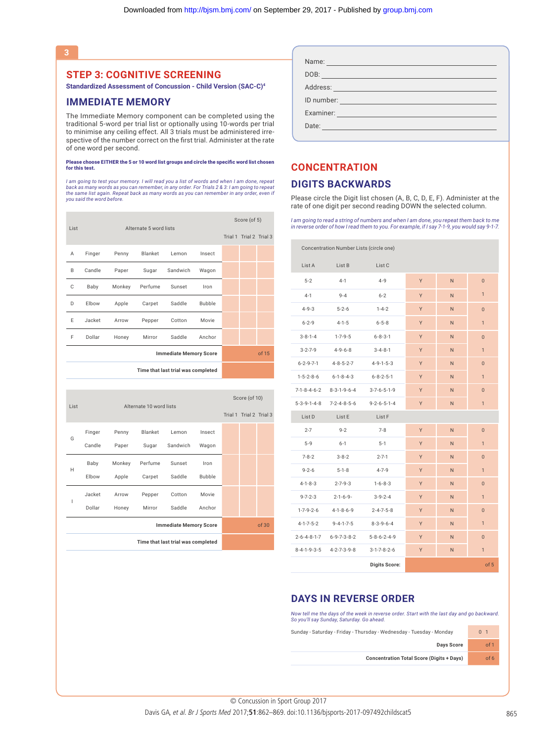### **STEP 3: COGNITIVE SCREENING**

**Standardized Assessment of Concussion - Child Version (SAC-C)4**

### **IMMEDIATE MEMORY**

The Immediate Memory component can be completed using the traditional 5-word per trial list or optionally using 10-words per trial to minimise any ceiling effect. All 3 trials must be administered irrespective of the number correct on the first trial. Administer at the rate of one word per second.

#### Please choose EITHER the 5 or 10 word list groups and circle the specific word list chosen for this test.

*I am going to test your memory. I will read you a list of words and when I am done, repeat*  back as many words as you can remember, in any order. For Trials 2 & 3: I am going to repeat<br>the same list again. Repeat back as many words as you can remember in any order, even if<br>you said the word before.

| List |        | Alternate 5 word lists             |                |                               | Score (of 5)  |  |                         |       |  |
|------|--------|------------------------------------|----------------|-------------------------------|---------------|--|-------------------------|-------|--|
|      |        |                                    |                |                               |               |  | Trial 1 Trial 2 Trial 3 |       |  |
| Α    | Finger | Penny                              | <b>Blanket</b> | Lemon                         | Insect        |  |                         |       |  |
| B    | Candle | Paper                              | Sugar          | Sandwich                      | Wagon         |  |                         |       |  |
| C    | Baby   | Monkey                             | Perfume        | Sunset                        | Iron          |  |                         |       |  |
| D    | Elbow  | Apple                              | Carpet         | Saddle                        | <b>Bubble</b> |  |                         |       |  |
| E    | Jacket | Arrow                              | Pepper         | Cotton                        | Movie         |  |                         |       |  |
| F    | Dollar | Honey                              | Mirror         | Saddle                        | Anchor        |  |                         |       |  |
|      |        |                                    |                | <b>Immediate Memory Score</b> |               |  |                         | of 15 |  |
|      |        | Time that last trial was completed |                |                               |               |  |                         |       |  |

| List |                                    |        | Alternate 10 word lists |                               |        |  | Score (of 10)           |       |
|------|------------------------------------|--------|-------------------------|-------------------------------|--------|--|-------------------------|-------|
|      |                                    |        |                         |                               |        |  | Trial 1 Trial 2 Trial 3 |       |
| G    | Finger                             | Penny  | Blanket                 | Lemon                         | Insect |  |                         |       |
|      | Candle                             | Paper  | Sugar                   | Sandwich                      | Wagon  |  |                         |       |
| Н    | Baby                               | Monkey | Perfume                 | Sunset                        | Iron   |  |                         |       |
|      | Elbow                              | Apple  | Carpet                  | Saddle                        | Bubble |  |                         |       |
| ı    | Jacket                             | Arrow  | Pepper                  | Cotton                        | Movie  |  |                         |       |
|      | Dollar                             | Honey  | Mirror                  | Saddle                        | Anchor |  |                         |       |
|      |                                    |        |                         | <b>Immediate Memory Score</b> |        |  |                         | of 30 |
|      | Time that last trial was completed |        |                         |                               |        |  |                         |       |

| Name: Name: Name: Name: Name: Name: Name: Name: Name: Name: Name: Name: Name: Name: Name: Name: Name: Name: Name: Name: Name: Name: Name: Name: Name: Name: Name: Name: Name: Name: Name: Name: Name: Name: Name: Name: Name: |                                                                            |                                                                                                                                                                                                                                      |  |
|-------------------------------------------------------------------------------------------------------------------------------------------------------------------------------------------------------------------------------|----------------------------------------------------------------------------|--------------------------------------------------------------------------------------------------------------------------------------------------------------------------------------------------------------------------------------|--|
| DOB:                                                                                                                                                                                                                          | the control of the control of the control of the control of the control of |                                                                                                                                                                                                                                      |  |
| Address: <u>Address:</u>                                                                                                                                                                                                      |                                                                            |                                                                                                                                                                                                                                      |  |
| ID number:                                                                                                                                                                                                                    |                                                                            | <u> 1970 - Jan Stein Harry Harry Harry Harry Harry Harry Harry Harry Harry Harry Harry Harry Harry Harry Harry Harry Harry Harry Harry Harry Harry Harry Harry Harry Harry Harry Harry Harry Harry Harry Harry Harry Harry Harry</u> |  |
| Examiner:                                                                                                                                                                                                                     |                                                                            |                                                                                                                                                                                                                                      |  |
| Date:                                                                                                                                                                                                                         | the control of the control of the control of the control of the control of |                                                                                                                                                                                                                                      |  |

# **CONCENTRATION**

### **DIGITS BACKWARDS**

|                                                                                                                                            |                                    |        |                         |       |                            |                                           | <b>Concentration Total Score (Digits + Days)</b>                                                                                                                                                                                     |        |              |                                |
|--------------------------------------------------------------------------------------------------------------------------------------------|------------------------------------|--------|-------------------------|-------|----------------------------|-------------------------------------------|--------------------------------------------------------------------------------------------------------------------------------------------------------------------------------------------------------------------------------------|--------|--------------|--------------------------------|
|                                                                                                                                            |                                    |        |                         |       |                            |                                           |                                                                                                                                                                                                                                      |        | Days Score   | of 1                           |
|                                                                                                                                            |                                    |        |                         |       |                            | So you'll say Sunday, Saturday. Go ahead. | Now tell me the days of the week in reverse order. Start with the last day and go backward.<br>Sunday - Saturday - Friday - Thursday - Wednesday - Tuesday - Monday                                                                  |        |              | 0 <sub>1</sub>                 |
|                                                                                                                                            |                                    |        |                         |       |                            |                                           | <b>DAYS IN REVERSE ORDER</b>                                                                                                                                                                                                         |        |              |                                |
|                                                                                                                                            |                                    |        |                         |       |                            |                                           |                                                                                                                                                                                                                                      |        |              |                                |
|                                                                                                                                            |                                    |        |                         |       |                            |                                           | <b>Digits Score:</b>                                                                                                                                                                                                                 |        |              | of 5                           |
|                                                                                                                                            | Time that last trial was completed |        |                         |       | $8 - 4 - 1 - 9 - 3 - 5$    | $4 - 2 - 7 - 3 - 9 - 8$                   | $3 - 1 - 7 - 8 - 2 - 6$                                                                                                                                                                                                              | Υ      | N            | $\mathbf{1}$                   |
|                                                                                                                                            | <b>Immediate Memory Score</b>      |        |                         | of 30 | $2 - 6 - 4 - 8 - 1 - 7$    | $6 - 9 - 7 - 3 - 8 - 2$                   | $5 - 8 - 6 - 2 - 4 - 9$                                                                                                                                                                                                              | Υ      | $\mathsf{N}$ | $\overline{0}$                 |
|                                                                                                                                            |                                    |        |                         |       | $4 - 1 - 7 - 5 - 2$        | $9 - 4 - 1 - 7 - 5$                       | $8 - 3 - 9 - 6 - 4$                                                                                                                                                                                                                  | Υ      | $\mathsf{N}$ | $\mathbf{1}$                   |
| Mirror<br>ey                                                                                                                               | Saddle                             | Anchor |                         |       | $1 - 7 - 9 - 2 - 6$        | $4 - 1 - 8 - 6 - 9$                       | $2 - 4 - 7 - 5 - 8$                                                                                                                                                                                                                  | Υ      | N            | $\overline{0}$                 |
| Pepper<br>W                                                                                                                                | Cotton                             | Movie  |                         |       | $9 - 7 - 2 - 3$            | $2 - 1 - 6 - 9 -$                         | $3 - 9 - 2 - 4$                                                                                                                                                                                                                      | Υ      | N            | $\mathbf{1}$                   |
| Carpet<br>le                                                                                                                               | Saddle                             | Bubble |                         |       | $4 - 1 - 8 - 3$            | $5 - 1 - 8$<br>$2 - 7 - 9 - 3$            | $1 - 6 - 8 - 3$                                                                                                                                                                                                                      | Υ      | N<br>N       | $\mathbf{1}$<br>$\overline{0}$ |
| Perfume<br>key                                                                                                                             | Sunset                             | Iron   |                         |       | $7 - 8 - 2$<br>$9 - 2 - 6$ | $3 - 8 - 2$                               | $2 - 7 - 1$<br>$4 - 7 - 9$                                                                                                                                                                                                           | Υ<br>Υ | N            | $\overline{0}$                 |
| Sugar<br>er                                                                                                                                | Sandwich                           | Wagon  |                         |       | $5 - 9$                    | $6 - 1$                                   | $5-1$                                                                                                                                                                                                                                | Y      | N            | $\mathbf{1}$                   |
| Blanket<br>ny                                                                                                                              | Lemon                              | Insect |                         |       | $2 - 7$                    | $9 - 2$                                   | $7 - 8$                                                                                                                                                                                                                              | Υ      | N            | $\bf 0$                        |
|                                                                                                                                            |                                    |        | Trial 1 Trial 2 Trial 3 |       | List D                     | List E                                    | List F                                                                                                                                                                                                                               |        |              |                                |
| Alternate 10 word lists                                                                                                                    |                                    |        |                         |       | $5 - 3 - 9 - 1 - 4 - 8$    | $7 - 2 - 4 - 8 - 5 - 6$                   | $9 - 2 - 6 - 5 - 1 - 4$                                                                                                                                                                                                              | Υ      | N            | $\mathbf{1}$                   |
|                                                                                                                                            |                                    |        | Score (of 10)           |       | $7 - 1 - 8 - 4 - 6 - 2$    | $8 - 3 - 1 - 9 - 6 - 4$                   | $3 - 7 - 6 - 5 - 1 - 9$                                                                                                                                                                                                              | Υ      | N            | $\overline{0}$                 |
|                                                                                                                                            |                                    |        |                         |       | $1 - 5 - 2 - 8 - 6$        | $6 - 1 - 8 - 4 - 3$                       | $6 - 8 - 2 - 5 - 1$                                                                                                                                                                                                                  | Υ      | $\mathsf{N}$ | $\mathbf{1}$                   |
|                                                                                                                                            | Time that last trial was completed |        |                         |       | $6 - 2 - 9 - 7 - 1$        | $4 - 8 - 5 - 2 - 7$                       | $4 - 9 - 1 - 5 - 3$                                                                                                                                                                                                                  | Υ      | N            | $\overline{0}$                 |
|                                                                                                                                            | <b>Immediate Memory Score</b>      |        |                         | of 15 | $3 - 2 - 7 - 9$            | $4 - 9 - 6 - 8$                           | $3 - 4 - 8 - 1$                                                                                                                                                                                                                      | Y      | N            | $\mathbf{1}$                   |
| Mirror<br>ey                                                                                                                               | Saddle                             | Anchor |                         |       | $3 - 8 - 1 - 4$            | $1 - 7 - 9 - 5$                           | $6 - 8 - 3 - 1$                                                                                                                                                                                                                      | Υ      | N            | $\overline{0}$                 |
| Pepper<br>W                                                                                                                                | Cotton                             | Movie  |                         |       | $6 - 2 - 9$                | $4 - 1 - 5$                               | $6 - 5 - 8$                                                                                                                                                                                                                          | Υ      | N            | $\mathbf{1}$                   |
| le<br>Carpet                                                                                                                               | Saddle                             | Bubble |                         |       | $4 - 9 - 3$                | $5 - 2 - 6$                               | $1 - 4 - 2$                                                                                                                                                                                                                          | Υ      | N            | $\overline{0}$                 |
|                                                                                                                                            |                                    |        |                         |       | $4 - 1$                    | $9 - 4$                                   | $6 - 2$                                                                                                                                                                                                                              | Y      | N            | $\mathbf{1}$                   |
| Perfume<br>key                                                                                                                             | Sunset                             | Iron   |                         |       | $5 - 2$                    | $4 - 1$                                   | $4 - 9$                                                                                                                                                                                                                              | Y      | N            | $\overline{0}$                 |
| er<br>Sugar                                                                                                                                | Sandwich                           | Wagon  |                         |       | List A                     | List B                                    | List <sub>C</sub>                                                                                                                                                                                                                    |        |              |                                |
| Blanket<br>ny                                                                                                                              | Lemon                              | Insect |                         |       |                            | Concentration Number Lists (circle one)   |                                                                                                                                                                                                                                      |        |              |                                |
|                                                                                                                                            |                                    |        | Trial 1 Trial 2 Trial 3 |       |                            |                                           |                                                                                                                                                                                                                                      |        |              |                                |
| Alternate 5 word lists                                                                                                                     |                                    |        | Score (of 5)            |       |                            |                                           | I am going to read a string of numbers and when I am done, you repeat them back to me<br>in reverse order of how I read them to you. For example, if I say 7-1-9, you would say 9-1-7.                                               |        |              |                                |
|                                                                                                                                            |                                    |        |                         |       |                            |                                           | rate of one digit per second reading DOWN the selected column.                                                                                                                                                                       |        |              |                                |
| at back as many words as you can remember in any order, even if                                                                            |                                    |        |                         |       |                            |                                           | Please circle the Digit list chosen (A, B, C, D, E, F). Administer at the                                                                                                                                                            |        |              |                                |
| emory. I will read you a list of words and when I am done, repeat<br>ou can remember, in any order. For Trials 2 & 3: I am going to repeat |                                    |        |                         |       |                            | <b>DIGITS BACKWARDS</b>                   |                                                                                                                                                                                                                                      |        |              |                                |
| e 5 or 10 word list groups and circle the specific word list chosen                                                                        |                                    |        |                         |       |                            | <b>CONCENTRATION</b>                      |                                                                                                                                                                                                                                      |        |              |                                |
| iling effect. All 3 trials must be administered irre-<br>ber correct on the first trial. Administer at the rate<br>cond.                   |                                    |        |                         |       |                            |                                           |                                                                                                                                                                                                                                      |        |              |                                |
| emory component can be completed using the<br>per trial list or optionally using 10-words per trial                                        |                                    |        |                         |       |                            |                                           | Examiner: New York State Street (New York Street Street Street Street Street Street Street Street Street Street                                                                                                                      |        |              |                                |
| <b>MEMORY</b>                                                                                                                              |                                    |        |                         |       |                            |                                           | ID number: <u>contract the contract of the contract of the contract of the contract of the contract of the contract of the contract of the contract of the contract of the contract of the contract of the contract of the contr</u> |        |              |                                |
| ssment of Concussion - Child Version (SAC-C) <sup>4</sup>                                                                                  |                                    |        |                         |       |                            |                                           |                                                                                                                                                                                                                                      |        |              |                                |
| <b>SNITIVE SCREENING</b>                                                                                                                   |                                    |        |                         |       | DOB:                       |                                           | <u> 1989 - Johann John Stein, markin film yn y brening yn y brening yn y brening yn y brening yn y brening yn y b</u>                                                                                                                |        |              |                                |
|                                                                                                                                            |                                    |        |                         |       |                            |                                           |                                                                                                                                                                                                                                      |        |              |                                |
|                                                                                                                                            |                                    |        |                         |       |                            |                                           | Name: Name: Name: Name: Name: Name: Name: Name: Name: Name: Name: Name: Name: Name: Name: Name: Name: Name: Name: Name: Name: Name: Name: Name: Name: Name: Name: Name: Name: Name: Name: Name: Name: Name: Name: Name: Name:        |        |              |                                |

### **DAYS IN REVERSE ORDER**

| Sunday - Saturday - Friday - Thursday - Wednesday - Tuesday - Monday | 0 <sub>1</sub> |  |
|----------------------------------------------------------------------|----------------|--|
| <b>Davs Score</b>                                                    | of 1           |  |
| <b>Concentration Total Score (Digits + Days)</b>                     | of 6           |  |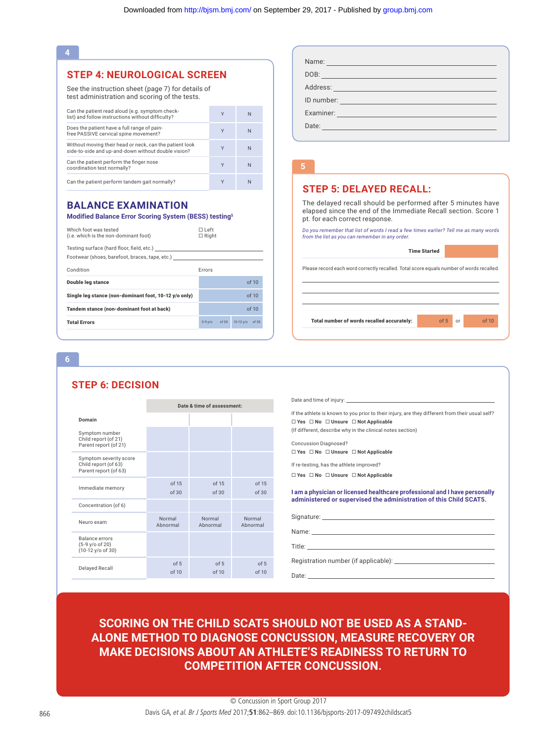### **4**

### **STEP 4: NEUROLOGICAL SCREEN**

| Can the patient read aloud (e.g. symptom check-<br>list) and follow instructions without difficulty?           | γ      | N |
|----------------------------------------------------------------------------------------------------------------|--------|---|
| Does the patient have a full range of pain-<br>free PASSIVE cervical spine movement?                           | $\vee$ | N |
| Without moving their head or neck, can the patient look<br>side-to-side and up-and-down without double vision? |        | N |
| Can the patient perform the finger nose<br>coordination test normally?                                         | $\vee$ | N |
| Can the patient perform tandem gait normally?                                                                  | v      | N |

### **BALANCE EXAMINATION**

#### **Modified Balance Error Scoring System (BESS) testing5**

| Which foot was tested<br>(i.e. which is the non-dominant foot)                              | $\Box$ Left<br>$\Box$ Right |       |               |       |
|---------------------------------------------------------------------------------------------|-----------------------------|-------|---------------|-------|
| Testing surface (hard floor, field, etc.)<br>Footwear (shoes, barefoot, braces, tape, etc.) |                             |       |               |       |
| Condition                                                                                   | Errors                      |       |               |       |
| <b>Double leg stance</b>                                                                    |                             |       |               | of 10 |
| Single leg stance (non-dominant foot, 10-12 y/o only)                                       |                             |       |               | of 10 |
| Tandem stance (non-dominant foot at back)                                                   |                             |       |               | of 10 |
| <b>Total Errors</b>                                                                         | $5 - 9$ $V/O$               | of 20 | $10 - 12$ v/o | of 30 |

# Name: DOB: Address: ID number: Examiner: Date:

### **STEP 5: DELAYED RECALL:**

The delayed recall should be performed after 5 minutes have elapsed since the end of the Immediate Recall section. Score 1 pt. for each correct response.

*Do you remember that list of words I read a few times earlier? Tell me as many words from the list as you can remember in any order.*

|                                                                                          | <b>Time Started</b> |      |       |
|------------------------------------------------------------------------------------------|---------------------|------|-------|
| Please record each word correctly recalled. Total score equals number of words recalled. |                     |      |       |
|                                                                                          |                     |      |       |
|                                                                                          |                     |      |       |
| Total number of words recalled accurately:                                               | of 5                | l or | of 10 |

#### **6**

### **STEP 6: DECISION**

| Symptom severity score<br>Child report (of 63)<br>Parent report (of 63)<br>Immediate memory<br>Concentration (of 6)<br>Neuro exam<br><b>Balance errors</b><br>(5-9 y/o of 20)<br>(10-12 y/o of 30) | of 15<br>of 30<br>Normal<br>Abnormal | of 30<br>Normal<br>Abnormal | of 30<br>Normal<br>Abnormal | administered or supervised the administration o<br>Signature: __________<br>Name: and the state of the state of the state of the state of the state of the state of the state of the state of the state of the state of the state of the state of the state of the state of the state of the state of the<br>Title: the contract of the contract of the contract of the contract of the contract of the contract of the contract of the contract of the contract of the contract of the contract of the contract of the contract of the con<br>Registration number (if applicable): _______ |
|----------------------------------------------------------------------------------------------------------------------------------------------------------------------------------------------------|--------------------------------------|-----------------------------|-----------------------------|---------------------------------------------------------------------------------------------------------------------------------------------------------------------------------------------------------------------------------------------------------------------------------------------------------------------------------------------------------------------------------------------------------------------------------------------------------------------------------------------------------------------------------------------------------------------------------------------|
|                                                                                                                                                                                                    |                                      |                             |                             |                                                                                                                                                                                                                                                                                                                                                                                                                                                                                                                                                                                             |
|                                                                                                                                                                                                    |                                      |                             |                             |                                                                                                                                                                                                                                                                                                                                                                                                                                                                                                                                                                                             |
|                                                                                                                                                                                                    |                                      |                             |                             |                                                                                                                                                                                                                                                                                                                                                                                                                                                                                                                                                                                             |
|                                                                                                                                                                                                    |                                      | of 15                       | of 15                       | $\Box$ Yes $\Box$ No $\Box$ Unsure $\Box$ Not Applicable<br>I am a physician or licensed healthcare professiona                                                                                                                                                                                                                                                                                                                                                                                                                                                                             |
|                                                                                                                                                                                                    |                                      |                             |                             | □ Yes □ No □ Unsure □ Not Applicable<br>If re-testing, has the athlete improved?                                                                                                                                                                                                                                                                                                                                                                                                                                                                                                            |
| Symptom number<br>Child report (of 21)<br>Parent report (of 21)                                                                                                                                    |                                      |                             |                             | (If different, describe why in the clinical notes section)<br><b>Concussion Diagnosed?</b>                                                                                                                                                                                                                                                                                                                                                                                                                                                                                                  |
| Domain                                                                                                                                                                                             |                                      |                             |                             | If the athlete is known to you prior to their injury, are they diff<br>□ Yes □ No □ Unsure □ Not Applicable                                                                                                                                                                                                                                                                                                                                                                                                                                                                                 |
| <b>STEP 6: DECISION</b>                                                                                                                                                                            |                                      | Date & time of assessment:  |                             |                                                                                                                                                                                                                                                                                                                                                                                                                                                                                                                                                                                             |
| otal Errors                                                                                                                                                                                        |                                      | $5 - 9y/c$<br>of 20         | 10-12 y/o of 30             |                                                                                                                                                                                                                                                                                                                                                                                                                                                                                                                                                                                             |
| andem stance (non-dominant foot at back)                                                                                                                                                           |                                      |                             | of 10                       | Total number of words recalled accurately:                                                                                                                                                                                                                                                                                                                                                                                                                                                                                                                                                  |
| ingle leg stance (non-dominant foot, 10-12 y/o only)                                                                                                                                               |                                      |                             | of 10                       |                                                                                                                                                                                                                                                                                                                                                                                                                                                                                                                                                                                             |
| ouble leg stance                                                                                                                                                                                   |                                      |                             | of 10                       |                                                                                                                                                                                                                                                                                                                                                                                                                                                                                                                                                                                             |
| ondition                                                                                                                                                                                           |                                      | Errors                      |                             | Please record each word correctly recalled. Total score equ                                                                                                                                                                                                                                                                                                                                                                                                                                                                                                                                 |
| esting surface (hard floor, field, etc.)<br>ootwear (shoes, barefoot, braces, tape, etc.)                                                                                                          |                                      |                             |                             | <b>Time Star</b>                                                                                                                                                                                                                                                                                                                                                                                                                                                                                                                                                                            |
| <b>Iodified Balance Error Scoring System (BESS) testing<sup>5</sup></b><br>hich foot was tested<br>e. which is the non-dominant foot)                                                              |                                      | $\Box$ Left<br>$\Box$ Right |                             | elapsed since the end of the Immediate R<br>pt. for each correct response.<br>Do you remember that list of words I read a few times ea<br>from the list as you can remember in any order.                                                                                                                                                                                                                                                                                                                                                                                                   |
| <b>BALANCE EXAMINATION</b>                                                                                                                                                                         |                                      |                             |                             | <b>STEP 5: DELAYED RECALL:</b><br>The delayed recall should be performed                                                                                                                                                                                                                                                                                                                                                                                                                                                                                                                    |
| an the patient perform tandem gait normally?                                                                                                                                                       |                                      | Υ                           | N                           |                                                                                                                                                                                                                                                                                                                                                                                                                                                                                                                                                                                             |
| de-to-side and up-and-down without double vision?<br>an the patient perform the finger nose<br>oordination test normally?                                                                          |                                      | Y                           | N                           | 5                                                                                                                                                                                                                                                                                                                                                                                                                                                                                                                                                                                           |
| ee PASSIVE cervical spine movement?<br>ithout moving their head or neck, can the patient look                                                                                                      |                                      | Y                           | N                           |                                                                                                                                                                                                                                                                                                                                                                                                                                                                                                                                                                                             |
| st) and follow instructions without difficulty?<br>bes the patient have a full range of pain-                                                                                                      |                                      | Y                           | N                           |                                                                                                                                                                                                                                                                                                                                                                                                                                                                                                                                                                                             |
| an the patient read aloud (e.g. symptom check-                                                                                                                                                     |                                      | Y                           | N                           | ID number: the contract of the contract of the contract of the contract of the contract of the contract of the<br>Examiner: Examiner:                                                                                                                                                                                                                                                                                                                                                                                                                                                       |
| est administration and scoring of the tests.                                                                                                                                                       |                                      |                             |                             | Address: Andreas Address: Andreas Address: Andreas Address: Andreas Address: Address: Address: Address: Address: Address: Address: Address: Address: Address: Address: Address: Address: Address: Address: Address: Address: A                                                                                                                                                                                                                                                                                                                                                              |
|                                                                                                                                                                                                    |                                      |                             |                             |                                                                                                                                                                                                                                                                                                                                                                                                                                                                                                                                                                                             |
| <b>STEP 4: NEUROLOGICAL SCREEN</b><br>ee the instruction sheet (page 7) for details of                                                                                                             |                                      |                             |                             | Name: We have a state of the contract of the contract of the contract of the contract of the contract of the contract of the contract of the contract of the contract of the contract of the contract of the contract of the c                                                                                                                                                                                                                                                                                                                                                              |

| If the athlete is known to you prior to their injury, are they different from their usual self?<br>$\Box$ Yes $\Box$ No $\Box$ Unsure $\Box$ Not Applicable<br>(If different, describe why in the clinical notes section) |
|---------------------------------------------------------------------------------------------------------------------------------------------------------------------------------------------------------------------------|
| <b>Concussion Diagnosed?</b><br>$\Box$ Yes $\Box$ No $\Box$ Unsure $\Box$ Not Applicable                                                                                                                                  |
| If re-testing, has the athlete improved?<br>$\Box$ Yes $\Box$ No $\Box$ Unsure $\Box$ Not Applicable                                                                                                                      |
| I am a physician or licensed healthcare professional and I have personally<br>administered or supervised the administration of this Child SCAT5.                                                                          |
|                                                                                                                                                                                                                           |
|                                                                                                                                                                                                                           |
|                                                                                                                                                                                                                           |
|                                                                                                                                                                                                                           |

# **SCORING ON THE CHILD SCAT5 SHOULD NOT BE USED AS A STAND-ALONE METHOD TO DIAGNOSE CONCUSSION, MEASURE RECOVERY OR MAKE DECISIONS ABOUT AN ATHLETE'S READINESS TO RETURN TO COMPETITION AFTER CONCUSSION.**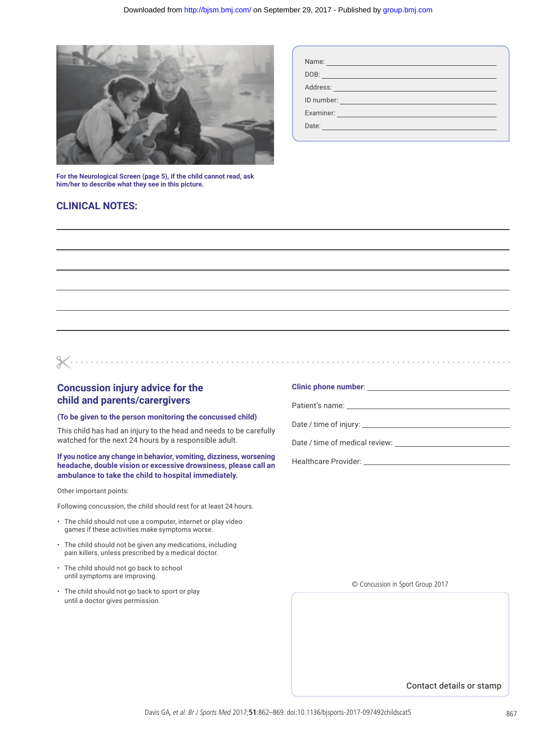

**For the Neurological Screen (page 5), if the child cannot read, ask him/her to describe what they see in this picture.**

| Name:<br><u> 1989 - Johann Barn, mars et al. (b. 1989)</u>                                                                          |
|-------------------------------------------------------------------------------------------------------------------------------------|
| DOB:<br><u> 1989 - Andrea Stadt, fransk politiker (d. 1989)</u>                                                                     |
| Address: Address:                                                                                                                   |
| ID number:<br><u> 1989 - Jan Sterling von Berling von Berling von Berling von Berling von Berling von Berling von Berling von B</u> |
| Examiner:                                                                                                                           |
| Date:<br><u> 1989 - John Stone, Amerikaansk politiker (</u>                                                                         |

### **CLINICAL NOTES:**



### **Concussion injury advice for the child and parents/carergivers**

### **(To be given to the person monitoring the concussed child)**

This child has had an injury to the head and needs to be carefully watched for the next 24 hours by a responsible adult.

**If you notice any change in behavior, vomiting, dizziness, worsening headache, double vision or excessive drowsiness, please call an ambulance to take the child to hospital immediately.**

Other important points:

Following concussion, the child should rest for at least 24 hours.

- The child should not use a computer, internet or play video games if these activities make symptoms worse.
- The child should not be given any medications, including pain killers, unless prescribed by a medical doctor.
- The child should not go back to school until symptoms are improving.
- The child should not go back to sport or play until a doctor gives permission.

|  |  | <b>Clinic phone number:</b> |  |
|--|--|-----------------------------|--|
|--|--|-----------------------------|--|

Patient's name:

Date / time of injury: \_\_

Date / time of medical review:

Healthcare Provider:

© Concussion in Sport Group 2017

Contact details or stamp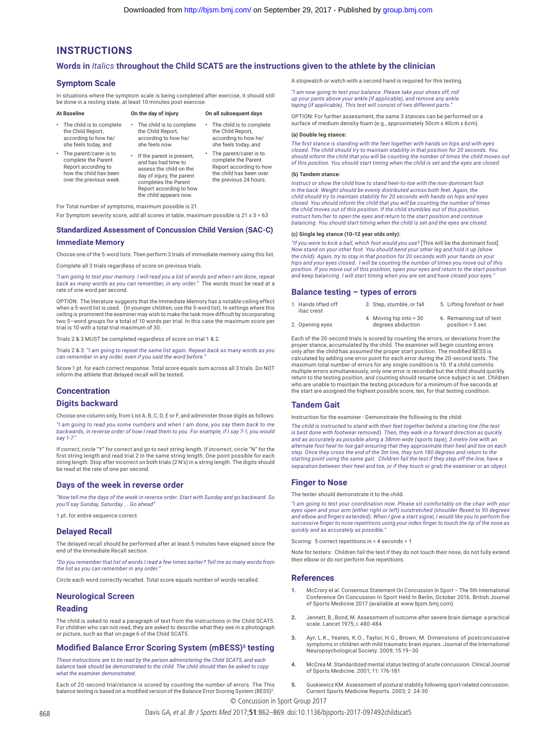### **INSTRUCTIONS**

### **Words in** *Italics* **throughout the Child SCAT5 are the instructions given to the athlete by the clinician**

#### **Symptom Scale**

| Downloaded from http://bjsm.bmj.com/ on September 29, 2017 - Published by group.bmj.com                                                                                                                                                                                                                                                                                            |                                                                                                                                                                                                                                                                                                                                                                                                                                                                                                                                                                                                                                                                                                                                                                                                                              |  |  |  |
|------------------------------------------------------------------------------------------------------------------------------------------------------------------------------------------------------------------------------------------------------------------------------------------------------------------------------------------------------------------------------------|------------------------------------------------------------------------------------------------------------------------------------------------------------------------------------------------------------------------------------------------------------------------------------------------------------------------------------------------------------------------------------------------------------------------------------------------------------------------------------------------------------------------------------------------------------------------------------------------------------------------------------------------------------------------------------------------------------------------------------------------------------------------------------------------------------------------------|--|--|--|
| <b>INSTRUCTIONS</b>                                                                                                                                                                                                                                                                                                                                                                |                                                                                                                                                                                                                                                                                                                                                                                                                                                                                                                                                                                                                                                                                                                                                                                                                              |  |  |  |
| Words in Italics throughout the Child SCAT5 are the instructions given to the athlete by the clinicial                                                                                                                                                                                                                                                                             |                                                                                                                                                                                                                                                                                                                                                                                                                                                                                                                                                                                                                                                                                                                                                                                                                              |  |  |  |
| <b>Symptom Scale</b>                                                                                                                                                                                                                                                                                                                                                               | A stopwatch or watch with a second hand is required for                                                                                                                                                                                                                                                                                                                                                                                                                                                                                                                                                                                                                                                                                                                                                                      |  |  |  |
| In situations where the symptom scale is being completed after exercise, it should still<br>be done in a resting state, at least 10 minutes post exercise.                                                                                                                                                                                                                         | "I am now going to test your balance. Please take your sh<br>up your pants above your ankle (if applicable), and remov<br>taping (if applicable). This test will consist of two differer                                                                                                                                                                                                                                                                                                                                                                                                                                                                                                                                                                                                                                     |  |  |  |
| <b>At Baseline</b><br>On the day of injury<br>On all subsequent days                                                                                                                                                                                                                                                                                                               | OPTION: For further assessment, the same 3 stances ca                                                                                                                                                                                                                                                                                                                                                                                                                                                                                                                                                                                                                                                                                                                                                                        |  |  |  |
| The child is to complete<br>• The child is to complete<br>• The child is to complete<br>the Child Report,<br>the Child Report,<br>the Child Report,<br>according to how he/<br>according to how he/<br>according to how he/<br>she feels today, and<br>she feels now.<br>she feels today, and<br>The parent/carer is to<br>• The parent/carer is to<br>• If the parent is present, | surface of medium density foam (e.g., approximately 50<br>(a) Double leg stance:<br>The first stance is standing with the feet together with hai<br>closed. The child should try to maintain stability in that po<br>should inform the child that you will be counting the numl<br>of this position. You should start timing when the child is<br>(b) Tandem stance:<br>Instruct or show the child how to stand heel-to-toe with th<br>in the back. Weight should be evenly distributed across be<br>child should try to maintain stability for 20 seconds with I<br>closed. You should inform the child that you will be count.<br>the child moves out of this position. If the child stumbles<br>instruct him/her to open the eyes and return to the start p<br>balancing. You should start timing when the child is set a |  |  |  |
| complete the Parent<br>complete the Parent<br>and has had time to<br>Report according to<br>Report according to how<br>assess the child on the<br>how the child has been<br>the child has been over<br>day of injury, the parent<br>over the previous week.<br>the previous 24 hours.<br>completes the Parent<br>Report according to how<br>the child appears now.                 |                                                                                                                                                                                                                                                                                                                                                                                                                                                                                                                                                                                                                                                                                                                                                                                                                              |  |  |  |
| For Total number of symptoms, maximum possible is 21<br>For Symptom severity score, add all scores in table, maximum possible is $21 \times 3 = 63$                                                                                                                                                                                                                                |                                                                                                                                                                                                                                                                                                                                                                                                                                                                                                                                                                                                                                                                                                                                                                                                                              |  |  |  |
| <b>Standardized Assessment of Concussion Child Version (SAC-C)</b>                                                                                                                                                                                                                                                                                                                 | (c) Single leg stance (10-12 year olds only):                                                                                                                                                                                                                                                                                                                                                                                                                                                                                                                                                                                                                                                                                                                                                                                |  |  |  |
| <b>Immediate Memory</b>                                                                                                                                                                                                                                                                                                                                                            | "If you were to kick a ball, which foot would you use? [This                                                                                                                                                                                                                                                                                                                                                                                                                                                                                                                                                                                                                                                                                                                                                                 |  |  |  |
| Choose one of the 5-word lists. Then perform 3 trials of immediate memory using this list.                                                                                                                                                                                                                                                                                         | Now stand on your other foot. You should bend your other<br>the child). Again, try to stay in that position for 20 second                                                                                                                                                                                                                                                                                                                                                                                                                                                                                                                                                                                                                                                                                                    |  |  |  |
| Complete all 3 trials regardless of score on previous trials.                                                                                                                                                                                                                                                                                                                      | hips and your eyes closed. I will be counting the number<br>position. If you move out of this position, open your eyes                                                                                                                                                                                                                                                                                                                                                                                                                                                                                                                                                                                                                                                                                                       |  |  |  |
| "I am going to test your memory. I will read you a list of words and when I am done, repeat<br>back as many words as you can remember, in any order." The words must be read at a<br>rate of one word per second.                                                                                                                                                                  | and keep balancing. I will start timing when you are set ar<br>Balance testing - types of errors                                                                                                                                                                                                                                                                                                                                                                                                                                                                                                                                                                                                                                                                                                                             |  |  |  |
| OPTION: The literature suggests that the Immediate Memory has a notable ceiling effect<br>when a 5-word list is used. (In younger children, use the 5-word list). In settings where this                                                                                                                                                                                           | 1. Hands lifted off<br>3. Step, stumble, or fall                                                                                                                                                                                                                                                                                                                                                                                                                                                                                                                                                                                                                                                                                                                                                                             |  |  |  |
| ceiling is prominent the examiner may wish to make the task more difficult by incorporating<br>two 5-word groups for a total of 10 words per trial. In this case the maximum score per<br>trial is 10 with a total trial maximum of 30.                                                                                                                                            | iliac crest<br>4. Moving hip into > 30<br>2. Opening eyes<br>degrees abduction                                                                                                                                                                                                                                                                                                                                                                                                                                                                                                                                                                                                                                                                                                                                               |  |  |  |
| Trials 2 & 3 MUST be completed regardless of score on trial 1 & 2.                                                                                                                                                                                                                                                                                                                 | Each of the 20-second trials is scored by counting the er                                                                                                                                                                                                                                                                                                                                                                                                                                                                                                                                                                                                                                                                                                                                                                    |  |  |  |
| Trials 2 & 3: "I am going to repeat the same list again. Repeat back as many words as you<br>can remember in any order, even if you said the word before."                                                                                                                                                                                                                         | proper stance, accumulated by the child. The examiner v<br>only after the child has assumed the proper start positio<br>calculated by adding one error point for each error during                                                                                                                                                                                                                                                                                                                                                                                                                                                                                                                                                                                                                                           |  |  |  |
| Score 1 pt. for each correct response. Total score equals sum across all 3 trials. Do NOT<br>inform the athlete that delayed recall will be tested.                                                                                                                                                                                                                                | maximum total number of errors for any single conditior<br>multiple errors simultaneously, only one error is recorde<br>return to the testing position, and counting should resun<br>who are unable to maintain the testing procedure for a m                                                                                                                                                                                                                                                                                                                                                                                                                                                                                                                                                                                |  |  |  |
| <b>Concentration</b>                                                                                                                                                                                                                                                                                                                                                               | the start are assigned the highest possible score, ten, fo                                                                                                                                                                                                                                                                                                                                                                                                                                                                                                                                                                                                                                                                                                                                                                   |  |  |  |
| <b>Digits backward</b>                                                                                                                                                                                                                                                                                                                                                             | <b>Tandem Gait</b>                                                                                                                                                                                                                                                                                                                                                                                                                                                                                                                                                                                                                                                                                                                                                                                                           |  |  |  |
| Choose one column only, from List A, B, C, D, E or F, and administer those digits as follows:<br>"I am going to read you some numbers and when I am done, you say them back to me<br>backwards, in reverse order of how I read them to you. For example, if I say 7-1, you would<br>say 1-7."                                                                                      | Instruction for the examiner - Demonstrate the following<br>The child is instructed to stand with their feet together be<br>is best done with footwear removed). Then, they walk in a<br>and as accurately as possible along a 38mm wide (sports                                                                                                                                                                                                                                                                                                                                                                                                                                                                                                                                                                             |  |  |  |
| If correct, circle "Y" for correct and go to next string length. If incorrect, circle "N" for the<br>first string length and read trial 2 in the same string length. One point possible for each<br>string length. Stop after incorrect on both trials (2 N's) in a string length. The digits should<br>be read at the rate of one per second.                                     | alternate foot heel-to-toe gait ensuring that they approxin<br>step. Once they cross the end of the 3m line, they turn 180<br>starting point using the same gait. Children fail the test if<br>separation between their heel and toe, or if they touch or                                                                                                                                                                                                                                                                                                                                                                                                                                                                                                                                                                    |  |  |  |
| Days of the week in reverse order                                                                                                                                                                                                                                                                                                                                                  | <b>Finger to Nose</b>                                                                                                                                                                                                                                                                                                                                                                                                                                                                                                                                                                                                                                                                                                                                                                                                        |  |  |  |
| "Now tell me the days of the week in reverse order. Start with Sunday and go backward. So<br>you'll say Sunday, Saturday  Go ahead"                                                                                                                                                                                                                                                | The tester should demonstrate it to the child.<br>"I am going to test your coordination now. Please sit cor<br>eyes open and your arm (either right or left) outstretched                                                                                                                                                                                                                                                                                                                                                                                                                                                                                                                                                                                                                                                    |  |  |  |
| 1 pt. for entire sequence correct                                                                                                                                                                                                                                                                                                                                                  | and elbow and fingers extended). When I give a start signa<br>successive finger to nose repetitions using your index fing                                                                                                                                                                                                                                                                                                                                                                                                                                                                                                                                                                                                                                                                                                    |  |  |  |
| <b>Delayed Recall</b>                                                                                                                                                                                                                                                                                                                                                              | quickly and as accurately as possible."                                                                                                                                                                                                                                                                                                                                                                                                                                                                                                                                                                                                                                                                                                                                                                                      |  |  |  |
| The delayed recall should be performed after at least 5 minutes have elapsed since the<br>end of the Immediate Recall section.<br>"Do you remember that list of words I read a few times earlier? Tell me as many words from                                                                                                                                                       | Scoring: 5 correct repetitions in < 4 seconds = 1<br>Note for testers: Children fail the test if they do not touc<br>their elbow or do not perform five repetitions.                                                                                                                                                                                                                                                                                                                                                                                                                                                                                                                                                                                                                                                         |  |  |  |
| the list as you can remember in any order."                                                                                                                                                                                                                                                                                                                                        | <b>References</b>                                                                                                                                                                                                                                                                                                                                                                                                                                                                                                                                                                                                                                                                                                                                                                                                            |  |  |  |
| Circle each word correctly recalled. Total score equals number of words recalled.                                                                                                                                                                                                                                                                                                  | 1.<br>McCrory et al. Consensus Statement On Concussion                                                                                                                                                                                                                                                                                                                                                                                                                                                                                                                                                                                                                                                                                                                                                                       |  |  |  |
| <b>Neurological Screen</b><br><b>Reading</b>                                                                                                                                                                                                                                                                                                                                       | Conference On Concussion In Sport Held In Berlin<br>of Sports Medicine 2017 (available at www.bjsm.b                                                                                                                                                                                                                                                                                                                                                                                                                                                                                                                                                                                                                                                                                                                         |  |  |  |
| The child is asked to read a paragraph of text from the instructions in the Child SCAT5.                                                                                                                                                                                                                                                                                           | 2.<br>Jennett, B., Bond, M. Assessment of outcome after :<br>scale. Lancet 1975; i: 480-484                                                                                                                                                                                                                                                                                                                                                                                                                                                                                                                                                                                                                                                                                                                                  |  |  |  |
| For children who can not read, they are asked to describe what they see in a photograph<br>or picture, such as that on page 6 of the Child SCAT5.                                                                                                                                                                                                                                  | 3.<br>Ayr, L.K., Yeates, K.O., Taylor, H.G., Brown, M. D.<br>symptoms in children with mild traumatic brain inju                                                                                                                                                                                                                                                                                                                                                                                                                                                                                                                                                                                                                                                                                                             |  |  |  |
| Modified Balance Error Scoring System (mBESS) <sup>5</sup> testing                                                                                                                                                                                                                                                                                                                 | Neuropsychological Society. 2009; 15:19-30                                                                                                                                                                                                                                                                                                                                                                                                                                                                                                                                                                                                                                                                                                                                                                                   |  |  |  |
| These instructions are to be read by the person administering the Child SCAT5, and each<br>balance task should be demonstrated to the child. The child should then be asked to copy<br>what the examiner demonstrated.                                                                                                                                                             | McCrea M. Standardized mental status testing of ac<br>4.<br>of Sports Medicine. 2001; 11: 176-181                                                                                                                                                                                                                                                                                                                                                                                                                                                                                                                                                                                                                                                                                                                            |  |  |  |
| Each of 20-second trial/stance is scored by counting the number of errors. The This<br>balance testing is based on a modified version of the Balance Error Scoring System (BESS) <sup>5</sup> .<br>© Concussion in Sport Group 2017                                                                                                                                                | 5.<br>Guskiewicz KM. Assessment of postural stability foll<br>Current Sports Medicine Reports. 2003; 2: 24-30                                                                                                                                                                                                                                                                                                                                                                                                                                                                                                                                                                                                                                                                                                                |  |  |  |

### **Standardized Assessment of Concussion Child Version (SAC-C)**

#### **Immediate Memory**

#### **Concentration**

#### **Digits backward**

#### **Days of the week in reverse order**

#### **Delayed Recall**

#### **Neurological Screen**

#### **Reading**

#### **Modified Balance Error Scoring System (mBESS)5 testing**

A stopwatch or watch with a second hand is required for this testing.

*"I am now going to test your balance. Please take your shoes off, roll up your pants above your ankle (if applicable), and remove any ankle taping (if applicable). This test will consist of two different parts."*

OPTION: For further assessment, the same 3 stances can be performed on a surface of medium density foam (e.g., approximately 50cm x 40cm x 6cm).

#### **(a) Double leg stance:**

*The first stance is standing with the feet together with hands on hips and with eyes closed. The child should try to maintain stability in that position for 20 seconds. You should inform the child that you will be counting the number of times the child moves out of this position. You should start timing when the child is set and the eyes are closed.*

#### **(b) Tandem stance:**

*Instruct or show the child how to stand heel-to-toe with the non-dominant foot*  in the back. Weight should be evenly distributed across both feet. Again, the *child should try to maintain stability for 20 seconds with hands on hips and eyes closed. You should inform the child that you will be counting the number of times the child moves out of this position. If the child stumbles out of this position, instruct him/her to open the eyes and return to the start position and continue balancing. You should start timing when the child is set and the eyes are closed.*

#### **(c) Single leg stance (10-12 year olds only):**

*"If you were to kick a ball, which foot would you use?* [This will be the dominant foot] *Now stand on your other foot. You should bend your other leg and hold it up (show*  the child). Again, try to stay in that position for 20 seconds with your hands on your<br>hips and your eyes closed. I will be counting the number of times you move out of this *position. If you move out of this position, open your eyes and return to the start position and keep balancing. I will start timing when you are set and have closed your eyes."* 

#### **Balance testing – types of errors**

| 1. Hands lifted off<br>iliac crest | 3. Step, stumble, or fall                    | 5. Lifting forefoot or heel                    |
|------------------------------------|----------------------------------------------|------------------------------------------------|
| 2. Opening eves                    | 4. Moving hip into > 30<br>degrees abduction | 6. Remaining out of test<br>$position > 5$ sec |

Each of the 20-second trials is scored by counting the errors, or deviations from the proper stance, accumulated by the child. The examiner will begin counting errors only after the child has assumed the proper start position. The modified BESS is calculated by adding one error point for each error during the 20-second tests. The maximum total number of errors for any single condition is 10. If a child commits multiple errors simultaneously, only one error is recorded but the child should quickly return to the testing position, and counting should resume once subject is set. Children who are unable to maintain the testing procedure for a minimum of five seconds at the start are assigned the highest possible score, ten, for that testing condition.

#### **Tandem Gait**

Instruction for the examiner - Demonstrate the following to the child:

*The child is instructed to stand with their feet together behind a starting line (the test is best done with footwear removed). Then, they walk in a forward direction as quickly and as accurately as possible along a 38mm wide (sports tape), 3 metre line with an alternate foot heel-to-toe gait ensuring that they approximate their heel and toe on each step. Once they cross the end of the 3m line, they turn 180 degrees and return to the starting point using the same gait. Children fail the test if they step off the line, have a separation between their heel and toe, or if they touch or grab the examiner or an object.*

#### **Finger to Nose**

*"I am going to test your coordination now. Please sit comfortably on the chair with your eyes open and your arm (either right or left) outstretched (shoulder flexed to 90 degrees and elbow and fingers extended). When I give a start signal, I would like you to perform five successive finger to nose repetitions using your index finger to touch the tip of the nose as quickly and as accurately as possible."*

Note for testers: Children fail the test if they do not touch their nose, do not fully extend their elbow or do not perform five repetitions.

#### **References**

- **1.** McCrory et al. Consensus Statement On Concussion In Sport The 5th International Conference On Concussion In Sport Held In Berlin, October 2016. British Journal of Sports Medicine 2017 (available at www.bjsm.bmj.com)
- **2.** Jennett, B., Bond, M. Assessment of outcome after severe brain damage: a practical scale. Lancet 1975; i: 480-484
- **3.** Ayr, L.K., Yeates, K.O., Taylor, H.G., Brown, M. Dimensions of postconcussive symptoms in children with mild traumatic brain injuries. Journal of the International Neuropsychological Society. 2009; 15:19–30
- **4.** McCrea M. Standardized mental status testing of acute concussion. Clinical Journal of Sports Medicine. 2001; 11: 176-181
- **5.** Guskiewicz KM. Assessment of postural stability following sport-related concussion. Current Sports Medicine Reports. 2003; 2: 24-30

### © Concussion in Sport Group 2017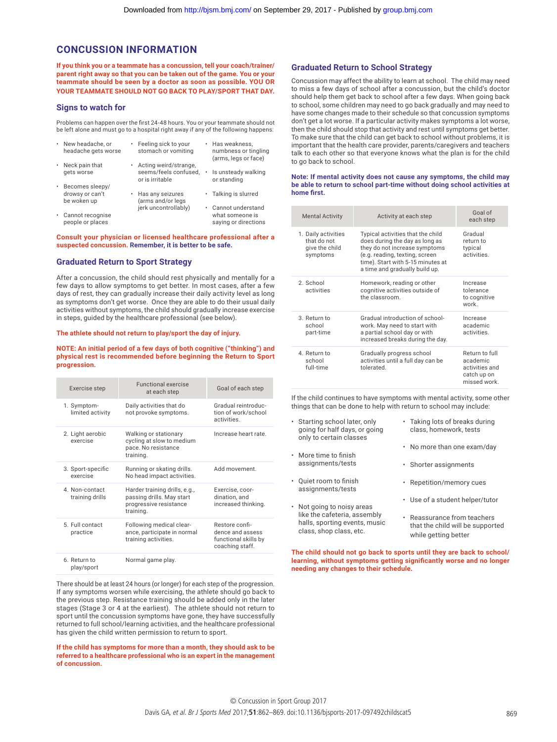### **CONCUSSION INFORMATION**

#### **Signs to watch for**

| • New headache, or<br>headache gets worse         | $\bullet$ | Feeling sick to your<br>stomach or vomiting                       |   | • Has weakness.<br>numbness or tingling<br>(arms, legs or face) |
|---------------------------------------------------|-----------|-------------------------------------------------------------------|---|-----------------------------------------------------------------|
| Neck pain that<br>gets worse                      | ٠         | Acting weird/strange,<br>seems/feels confused,<br>or is irritable | ٠ | Is unsteady walking<br>or standing                              |
| Becomes sleepy/<br>drowsy or can't<br>be woken up | ٠         | Has any seizures<br>(arms and/or legs                             |   | · Talking is slurred                                            |
| • Cannot recognise<br>people or places            |           | jerk uncontrollably)                                              |   | • Cannot understand<br>what someone is<br>saying or directions  |

#### **Graduated Return to Sport Strategy**

#### **The athlete should not return to play/sport the day of injury.**

|                                                                                                                                                                                                                 | Downloaded from http://bjsm.bmj.com/ on September 29, 2017 - Published by group.bmj.com                                                                                                                                                                                                                                                                                                                                                                                                                                                                                                                                                                                                                                                                                                                                                                                                                                                                                                                                           |                                                                                                                                                                        |                                                                                                                                                                                                                                                                                                                                                                                                                                                                                                                                                                                                                                                        |                |                                                                                                                                                                                                                                                                                                               |
|-----------------------------------------------------------------------------------------------------------------------------------------------------------------------------------------------------------------|-----------------------------------------------------------------------------------------------------------------------------------------------------------------------------------------------------------------------------------------------------------------------------------------------------------------------------------------------------------------------------------------------------------------------------------------------------------------------------------------------------------------------------------------------------------------------------------------------------------------------------------------------------------------------------------------------------------------------------------------------------------------------------------------------------------------------------------------------------------------------------------------------------------------------------------------------------------------------------------------------------------------------------------|------------------------------------------------------------------------------------------------------------------------------------------------------------------------|--------------------------------------------------------------------------------------------------------------------------------------------------------------------------------------------------------------------------------------------------------------------------------------------------------------------------------------------------------------------------------------------------------------------------------------------------------------------------------------------------------------------------------------------------------------------------------------------------------------------------------------------------------|----------------|---------------------------------------------------------------------------------------------------------------------------------------------------------------------------------------------------------------------------------------------------------------------------------------------------------------|
|                                                                                                                                                                                                                 | <b>CONCUSSION INFORMATION</b>                                                                                                                                                                                                                                                                                                                                                                                                                                                                                                                                                                                                                                                                                                                                                                                                                                                                                                                                                                                                     |                                                                                                                                                                        |                                                                                                                                                                                                                                                                                                                                                                                                                                                                                                                                                                                                                                                        |                |                                                                                                                                                                                                                                                                                                               |
|                                                                                                                                                                                                                 | If you think you or a teammate has a concussion, tell your coach/trainer/<br>parent right away so that you can be taken out of the game. You or your<br>teammate should be seen by a doctor as soon as possible. YOU OR<br>YOUR TEAMMATE SHOULD NOT GO BACK TO PLAY/SPORT THAT DAY.                                                                                                                                                                                                                                                                                                                                                                                                                                                                                                                                                                                                                                                                                                                                               |                                                                                                                                                                        | <b>Graduated Return to School Strategy</b><br>Concussion may affect the ability to learn at so<br>to miss a few days of school after a concussi<br>should help them get back to school after a fe                                                                                                                                                                                                                                                                                                                                                                                                                                                      |                |                                                                                                                                                                                                                                                                                                               |
| <b>Signs to watch for</b><br>• New headache, or<br>headache gets worse<br>$\cdot$ Neck pain that<br>gets worse<br>• Becomes sleepy/<br>drowsy or can't<br>be woken up<br>• Cannot recognise<br>people or places | Problems can happen over the first 24-48 hours. You or your teammate should not<br>be left alone and must go to a hospital right away if any of the following happens:<br>• Feeling sick to your<br>stomach or vomiting<br>• Acting weird/strange,<br>seems/feels confused, · Is unsteady walking<br>or is irritable<br>• Has any seizures<br>(arms and/or legs<br>jerk uncontrollably)<br>Consult your physician or licensed healthcare professional after a<br>suspected concussion. Remember, it is better to be safe.<br><b>Graduated Return to Sport Strategy</b><br>After a concussion, the child should rest physically and mentally for a<br>few days to allow symptoms to get better. In most cases, after a few<br>days of rest, they can gradually increase their daily activity level as long<br>as symptoms don't get worse. Once they are able to do their usual daily<br>activities without symptoms, the child should gradually increase exercise<br>in steps, guided by the healthcare professional (see below). | · Has weakness,<br>numbness or tingling<br>(arms, legs or face)<br>or standing<br>· Talking is slurred<br>Cannot understand<br>what someone is<br>saying or directions | to school, some children may need to go back o<br>have some changes made to their schedule so t<br>don't get a lot worse. If a particular activity mak<br>then the child should stop that activity and rest<br>To make sure that the child can get back to sch<br>important that the health care provider, parents<br>talk to each other so that everyone knows wha<br>to go back to school.<br>Note: If mental activity does not cause any s<br>be able to return to school part-time without<br>home first.<br><b>Mental Activity</b><br>1. Daily activities<br>that do not<br>give the child<br>symptoms<br>2. School<br>activities<br>3. Return to | the classroom. | Activity at each step<br>Typical activities that the c<br>does during the day as long<br>they do not increase sympt<br>(e.g. reading, texting, scree<br>time). Start with 5-15 minu<br>a time and gradually build<br>Homework, reading or othe<br>cognitive activities outside<br>Gradual introduction of scl |
|                                                                                                                                                                                                                 | The athlete should not return to play/sport the day of injury.                                                                                                                                                                                                                                                                                                                                                                                                                                                                                                                                                                                                                                                                                                                                                                                                                                                                                                                                                                    |                                                                                                                                                                        | school<br>part-time                                                                                                                                                                                                                                                                                                                                                                                                                                                                                                                                                                                                                                    |                | work. May need to start wi<br>a partial school day or with<br>increased breaks during th                                                                                                                                                                                                                      |
| progression.                                                                                                                                                                                                    | NOTE: An initial period of a few days of both cognitive ("thinking") and<br>physical rest is recommended before beginning the Return to Sport                                                                                                                                                                                                                                                                                                                                                                                                                                                                                                                                                                                                                                                                                                                                                                                                                                                                                     |                                                                                                                                                                        | 4. Return to<br>school<br>full-time                                                                                                                                                                                                                                                                                                                                                                                                                                                                                                                                                                                                                    | tolerated.     | Gradually progress school<br>activities until a full day ca                                                                                                                                                                                                                                                   |
| Exercise step                                                                                                                                                                                                   | <b>Functional exercise</b><br>at each step                                                                                                                                                                                                                                                                                                                                                                                                                                                                                                                                                                                                                                                                                                                                                                                                                                                                                                                                                                                        | Goal of each step                                                                                                                                                      |                                                                                                                                                                                                                                                                                                                                                                                                                                                                                                                                                                                                                                                        |                |                                                                                                                                                                                                                                                                                                               |
| 1. Symptom-<br>limited activity                                                                                                                                                                                 | Daily activities that do<br>not provoke symptoms.                                                                                                                                                                                                                                                                                                                                                                                                                                                                                                                                                                                                                                                                                                                                                                                                                                                                                                                                                                                 | Gradual reintroduc-<br>tion of work/school<br>activities.                                                                                                              | If the child continues to have symptoms with m<br>things that can be done to help with return to s<br>· Starting school later, only                                                                                                                                                                                                                                                                                                                                                                                                                                                                                                                    |                | · Taking                                                                                                                                                                                                                                                                                                      |
| 2. Light aerobic<br>exercise                                                                                                                                                                                    | Walking or stationary<br>cycling at slow to medium<br>pace. No resistance<br>training.                                                                                                                                                                                                                                                                                                                                                                                                                                                                                                                                                                                                                                                                                                                                                                                                                                                                                                                                            | Increase heart rate.                                                                                                                                                   | going for half days, or going<br>only to certain classes<br>• More time to finish                                                                                                                                                                                                                                                                                                                                                                                                                                                                                                                                                                      |                | class, h<br>$\cdot$ No mor                                                                                                                                                                                                                                                                                    |
| 3. Sport-specific<br>exercise                                                                                                                                                                                   | Running or skating drills.<br>No head impact activities.                                                                                                                                                                                                                                                                                                                                                                                                                                                                                                                                                                                                                                                                                                                                                                                                                                                                                                                                                                          | Add movement.                                                                                                                                                          | assignments/tests<br>$\bullet$<br>• Quiet room to finish<br>$\bullet$<br>assignments/tests<br>$\bullet$<br>• Not going to noisy areas<br>like the cafeteria, assembly                                                                                                                                                                                                                                                                                                                                                                                                                                                                                  |                | Shorter                                                                                                                                                                                                                                                                                                       |
| 4. Non-contact<br>training drills                                                                                                                                                                               | Harder training drills, e.g.,<br>passing drills. May start<br>progressive resistance<br>training.                                                                                                                                                                                                                                                                                                                                                                                                                                                                                                                                                                                                                                                                                                                                                                                                                                                                                                                                 | Exercise, coor-<br>dination, and<br>increased thinking.                                                                                                                |                                                                                                                                                                                                                                                                                                                                                                                                                                                                                                                                                                                                                                                        |                | Repetit<br>Use of<br>Reassu                                                                                                                                                                                                                                                                                   |
| 5. Full contact<br>practice                                                                                                                                                                                     | Following medical clear-<br>ance, participate in normal<br>training activities.                                                                                                                                                                                                                                                                                                                                                                                                                                                                                                                                                                                                                                                                                                                                                                                                                                                                                                                                                   | Restore confi-<br>dence and assess<br>functional skills by<br>coaching staff.                                                                                          | halls, sporting events, music<br>class, shop class, etc.                                                                                                                                                                                                                                                                                                                                                                                                                                                                                                                                                                                               |                | that the<br>while g                                                                                                                                                                                                                                                                                           |
| 6. Return to<br>play/sport                                                                                                                                                                                      | Normal game play.                                                                                                                                                                                                                                                                                                                                                                                                                                                                                                                                                                                                                                                                                                                                                                                                                                                                                                                                                                                                                 |                                                                                                                                                                        | The child should not go back to sports until<br>learning, without symptoms getting significa<br>needing any changes to their schedule.                                                                                                                                                                                                                                                                                                                                                                                                                                                                                                                 |                |                                                                                                                                                                                                                                                                                                               |
|                                                                                                                                                                                                                 | There should be at least 24 hours (or longer) for each step of the progression.<br>If any symptoms worsen while exercising, the athlete should go back to<br>the previous step. Resistance training should be added only in the later<br>stages (Stage 3 or 4 at the earliest). The athlete should not return to<br>sport until the concussion symptoms have gone, they have successfully<br>returned to full school/learning activities, and the healthcare professional<br>has given the child written permission to return to sport.<br>If the child has symptoms for more than a month, they should ask to be<br>referred to a healthcare professional who is an expert in the management                                                                                                                                                                                                                                                                                                                                     |                                                                                                                                                                        |                                                                                                                                                                                                                                                                                                                                                                                                                                                                                                                                                                                                                                                        |                |                                                                                                                                                                                                                                                                                                               |
| of concussion.                                                                                                                                                                                                  |                                                                                                                                                                                                                                                                                                                                                                                                                                                                                                                                                                                                                                                                                                                                                                                                                                                                                                                                                                                                                                   | © Concussion in Sport Group 2017                                                                                                                                       |                                                                                                                                                                                                                                                                                                                                                                                                                                                                                                                                                                                                                                                        |                |                                                                                                                                                                                                                                                                                                               |

### **Graduated Return to School Strategy**

Concussion may affect the ability to learn at school. The child may need to miss a few days of school after a concussion, but the child's doctor should help them get back to school after a few days. When going back to school, some children may need to go back gradually and may need to have some changes made to their schedule so that concussion symptoms don't get a lot worse. If a particular activity makes symptoms a lot worse, then the child should stop that activity and rest until symptoms get better. To make sure that the child can get back to school without problems, it is important that the health care provider, parents/caregivers and teachers talk to each other so that everyone knows what the plan is for the child to go back to school.

#### **Note: If mental activity does not cause any symptoms, the child may be able to return to school part-time without doing school activities at home first.**

| <b>Mental Activity</b>                                           | Activity at each step                                                                                                                                                                                         | Goal of<br>each step                                                       |
|------------------------------------------------------------------|---------------------------------------------------------------------------------------------------------------------------------------------------------------------------------------------------------------|----------------------------------------------------------------------------|
| 1. Daily activities<br>that do not<br>give the child<br>symptoms | Typical activities that the child<br>does during the day as long as<br>they do not increase symptoms<br>(e.g. reading, texting, screen<br>time). Start with 5-15 minutes at<br>a time and gradually build up. | Gradual<br>return to<br>typical<br>activities.                             |
| 2 School<br>activities                                           | Homework, reading or other<br>cognitive activities outside of<br>the classroom                                                                                                                                | Increase<br>tolerance<br>to cognitive<br>work                              |
| 3. Return to<br>school<br>part-time                              | Gradual introduction of school-<br>work. May need to start with<br>a partial school day or with<br>increased breaks during the day.                                                                           | Increase<br>academic<br>activities.                                        |
| 4. Return to<br>school<br>full-time                              | Gradually progress school<br>activities until a full day can be<br>hetarelot                                                                                                                                  | Return to full<br>academic<br>activities and<br>catch up on<br>missed work |

If the child continues to have symptoms with mental activity, some other things that can be done to help with return to school may include:

> • Taking lots of breaks during class, homework, tests • No more than one exam/day

• Shorter assignments • Repetition/memory cues • Use of a student helper/tutor • Reassurance from teachers that the child will be supported

while getting better

- Starting school later, only going for half days, or going only to certain classes
- More time to finish assignments/tests
- Quiet room to finish assignments/tests
- Not going to noisy areas like the cafeteria, assembly halls, sporting events, music class, shop class, etc.

**The child should not go back to sports until they are back to school/ learning, without symptoms getting significantly worse and no longer needing any changes to their schedule.**